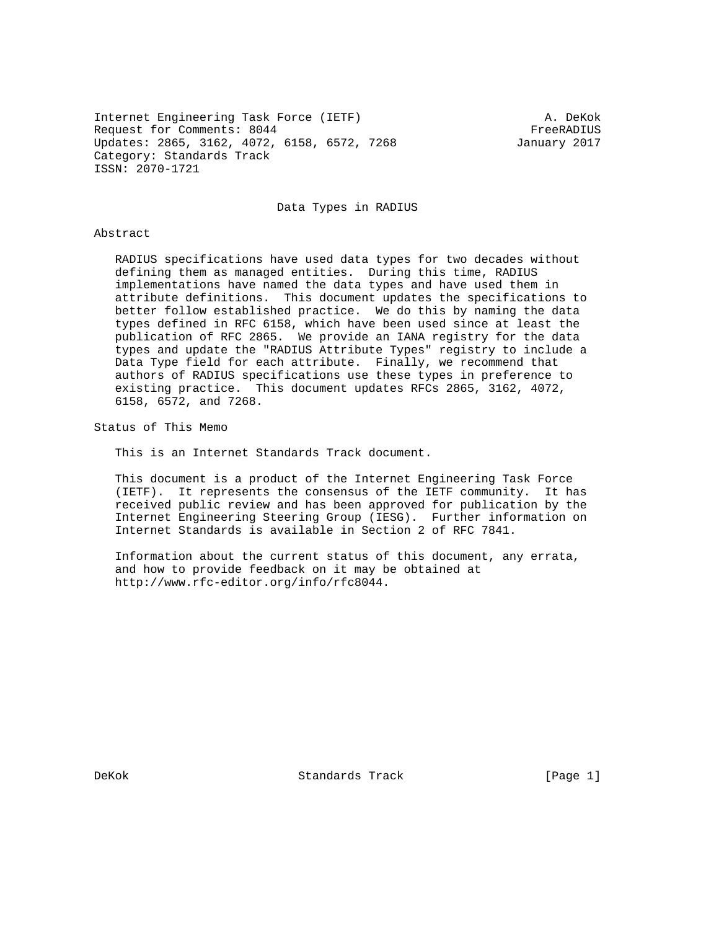Internet Engineering Task Force (IETF) A. DeKok Request for Comments: 8044 FreeRADIUS Updates: 2865, 3162, 4072, 6158, 6572, 7268 January 2017 Category: Standards Track ISSN: 2070-1721

Data Types in RADIUS

### Abstract

 RADIUS specifications have used data types for two decades without defining them as managed entities. During this time, RADIUS implementations have named the data types and have used them in attribute definitions. This document updates the specifications to better follow established practice. We do this by naming the data types defined in RFC 6158, which have been used since at least the publication of RFC 2865. We provide an IANA registry for the data types and update the "RADIUS Attribute Types" registry to include a Data Type field for each attribute. Finally, we recommend that authors of RADIUS specifications use these types in preference to existing practice. This document updates RFCs 2865, 3162, 4072, 6158, 6572, and 7268.

Status of This Memo

This is an Internet Standards Track document.

 This document is a product of the Internet Engineering Task Force (IETF). It represents the consensus of the IETF community. It has received public review and has been approved for publication by the Internet Engineering Steering Group (IESG). Further information on Internet Standards is available in Section 2 of RFC 7841.

 Information about the current status of this document, any errata, and how to provide feedback on it may be obtained at http://www.rfc-editor.org/info/rfc8044.

DeKok Standards Track [Page 1]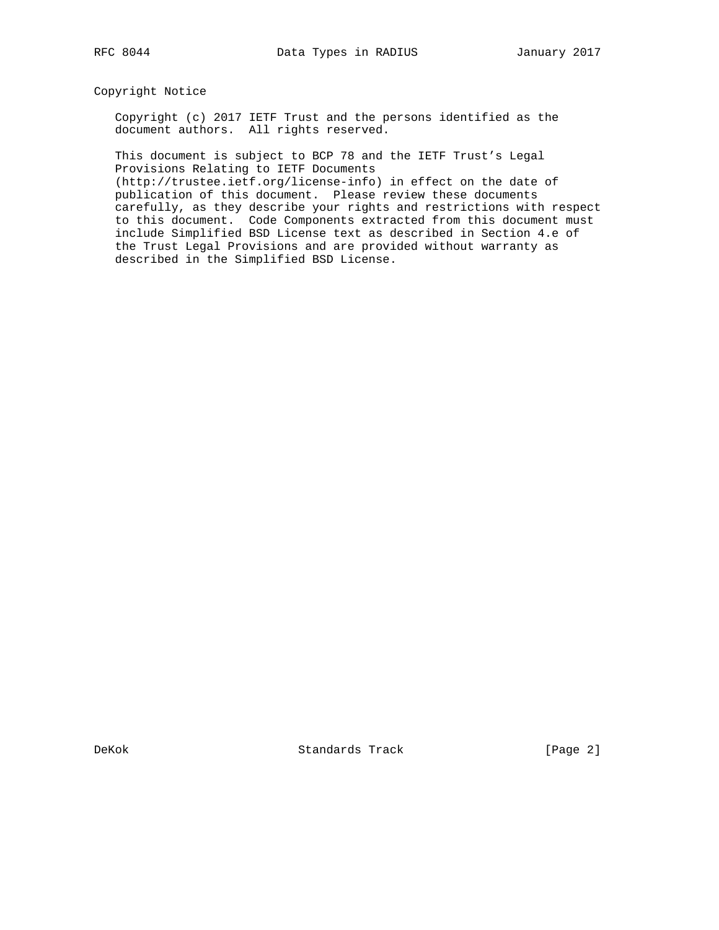Copyright Notice

 Copyright (c) 2017 IETF Trust and the persons identified as the document authors. All rights reserved.

 This document is subject to BCP 78 and the IETF Trust's Legal Provisions Relating to IETF Documents

 (http://trustee.ietf.org/license-info) in effect on the date of publication of this document. Please review these documents carefully, as they describe your rights and restrictions with respect to this document. Code Components extracted from this document must include Simplified BSD License text as described in Section 4.e of the Trust Legal Provisions and are provided without warranty as described in the Simplified BSD License.

DeKok Standards Track [Page 2]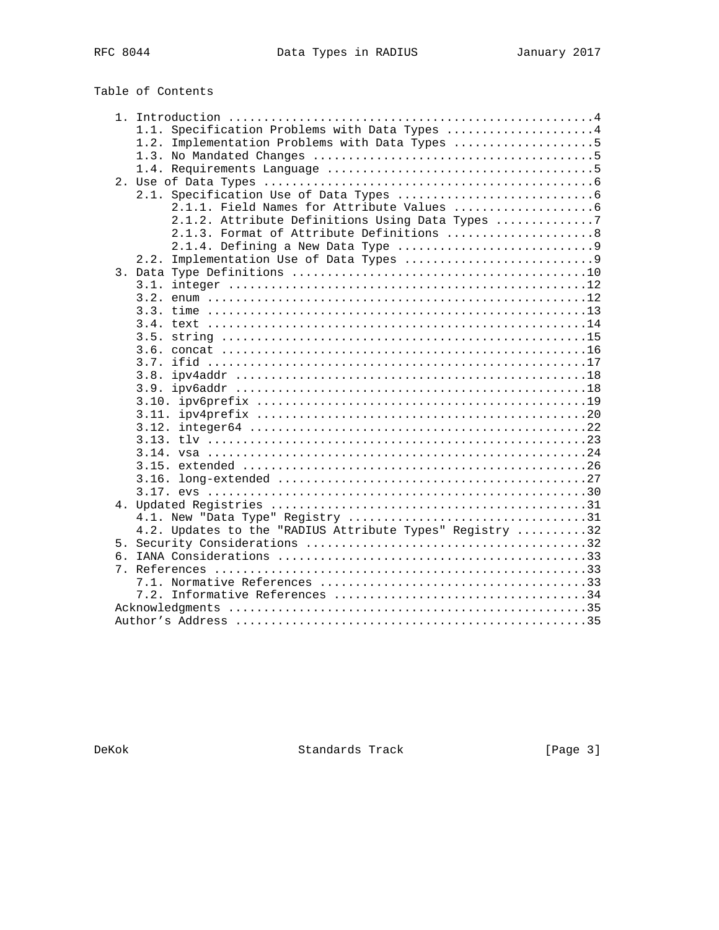# Table of Contents

|    | 1.1. Specification Problems with Data Types 4            |
|----|----------------------------------------------------------|
|    | Implementation Problems with Data Types 5<br>1.2.        |
|    |                                                          |
|    |                                                          |
|    |                                                          |
|    |                                                          |
|    |                                                          |
|    | 2.1.2. Attribute Definitions Using Data Types 7          |
|    | 2.1.3. Format of Attribute Definitions  8                |
|    | 2.1.4. Defining a New Data Type 9                        |
|    | 2.2.                                                     |
|    |                                                          |
|    | 3.1.                                                     |
|    |                                                          |
|    |                                                          |
|    |                                                          |
|    | 3.5.                                                     |
|    |                                                          |
|    | 3.7.                                                     |
|    | 3.8.                                                     |
|    |                                                          |
|    |                                                          |
|    |                                                          |
|    |                                                          |
|    |                                                          |
|    |                                                          |
|    |                                                          |
|    |                                                          |
|    |                                                          |
|    |                                                          |
|    |                                                          |
|    | 4.2. Updates to the "RADIUS Attribute Types" Registry 32 |
|    |                                                          |
| რ. |                                                          |
| 7. |                                                          |
|    |                                                          |
|    |                                                          |
|    |                                                          |
|    |                                                          |
|    |                                                          |

DeKok Standards Track [Page 3]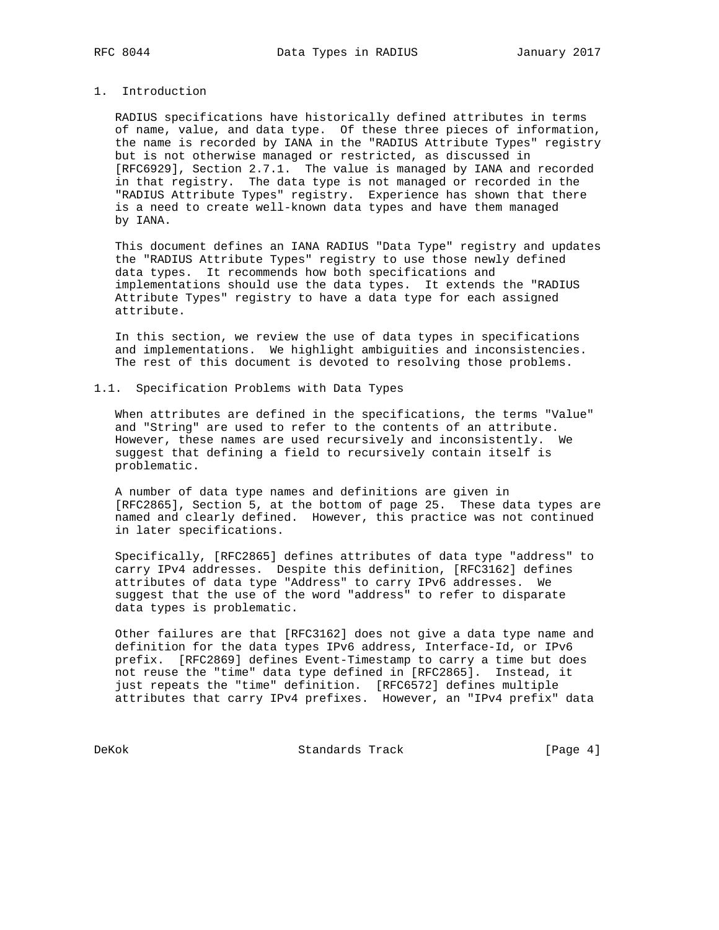# 1. Introduction

 RADIUS specifications have historically defined attributes in terms of name, value, and data type. Of these three pieces of information, the name is recorded by IANA in the "RADIUS Attribute Types" registry but is not otherwise managed or restricted, as discussed in [RFC6929], Section 2.7.1. The value is managed by IANA and recorded in that registry. The data type is not managed or recorded in the "RADIUS Attribute Types" registry. Experience has shown that there is a need to create well-known data types and have them managed by IANA.

 This document defines an IANA RADIUS "Data Type" registry and updates the "RADIUS Attribute Types" registry to use those newly defined data types. It recommends how both specifications and implementations should use the data types. It extends the "RADIUS Attribute Types" registry to have a data type for each assigned attribute.

 In this section, we review the use of data types in specifications and implementations. We highlight ambiguities and inconsistencies. The rest of this document is devoted to resolving those problems.

# 1.1. Specification Problems with Data Types

 When attributes are defined in the specifications, the terms "Value" and "String" are used to refer to the contents of an attribute. However, these names are used recursively and inconsistently. We suggest that defining a field to recursively contain itself is problematic.

 A number of data type names and definitions are given in [RFC2865], Section 5, at the bottom of page 25. These data types are named and clearly defined. However, this practice was not continued in later specifications.

 Specifically, [RFC2865] defines attributes of data type "address" to carry IPv4 addresses. Despite this definition, [RFC3162] defines attributes of data type "Address" to carry IPv6 addresses. We suggest that the use of the word "address" to refer to disparate data types is problematic.

 Other failures are that [RFC3162] does not give a data type name and definition for the data types IPv6 address, Interface-Id, or IPv6 prefix. [RFC2869] defines Event-Timestamp to carry a time but does not reuse the "time" data type defined in [RFC2865]. Instead, it just repeats the "time" definition. [RFC6572] defines multiple attributes that carry IPv4 prefixes. However, an "IPv4 prefix" data

DeKok Standards Track [Page 4]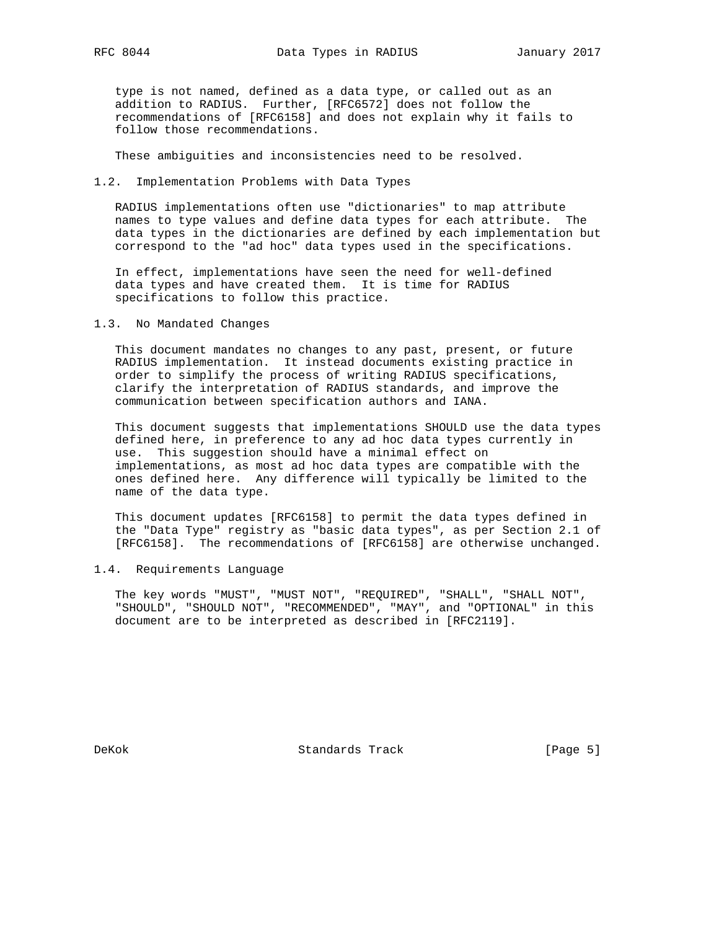type is not named, defined as a data type, or called out as an addition to RADIUS. Further, [RFC6572] does not follow the recommendations of [RFC6158] and does not explain why it fails to follow those recommendations.

These ambiguities and inconsistencies need to be resolved.

1.2. Implementation Problems with Data Types

 RADIUS implementations often use "dictionaries" to map attribute names to type values and define data types for each attribute. The data types in the dictionaries are defined by each implementation but correspond to the "ad hoc" data types used in the specifications.

 In effect, implementations have seen the need for well-defined data types and have created them. It is time for RADIUS specifications to follow this practice.

1.3. No Mandated Changes

 This document mandates no changes to any past, present, or future RADIUS implementation. It instead documents existing practice in order to simplify the process of writing RADIUS specifications, clarify the interpretation of RADIUS standards, and improve the communication between specification authors and IANA.

 This document suggests that implementations SHOULD use the data types defined here, in preference to any ad hoc data types currently in use. This suggestion should have a minimal effect on implementations, as most ad hoc data types are compatible with the ones defined here. Any difference will typically be limited to the name of the data type.

 This document updates [RFC6158] to permit the data types defined in the "Data Type" registry as "basic data types", as per Section 2.1 of [RFC6158]. The recommendations of [RFC6158] are otherwise unchanged.

1.4. Requirements Language

 The key words "MUST", "MUST NOT", "REQUIRED", "SHALL", "SHALL NOT", "SHOULD", "SHOULD NOT", "RECOMMENDED", "MAY", and "OPTIONAL" in this document are to be interpreted as described in [RFC2119].

DeKok Standards Track [Page 5]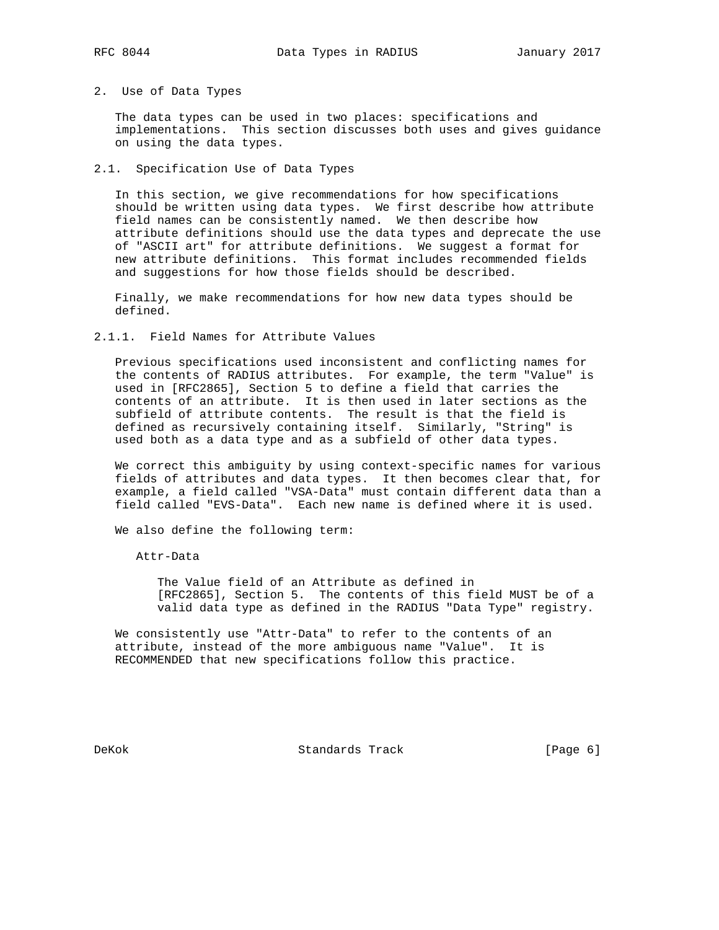## 2. Use of Data Types

 The data types can be used in two places: specifications and implementations. This section discusses both uses and gives guidance on using the data types.

# 2.1. Specification Use of Data Types

 In this section, we give recommendations for how specifications should be written using data types. We first describe how attribute field names can be consistently named. We then describe how attribute definitions should use the data types and deprecate the use of "ASCII art" for attribute definitions. We suggest a format for new attribute definitions. This format includes recommended fields and suggestions for how those fields should be described.

 Finally, we make recommendations for how new data types should be defined.

## 2.1.1. Field Names for Attribute Values

 Previous specifications used inconsistent and conflicting names for the contents of RADIUS attributes. For example, the term "Value" is used in [RFC2865], Section 5 to define a field that carries the contents of an attribute. It is then used in later sections as the subfield of attribute contents. The result is that the field is defined as recursively containing itself. Similarly, "String" is used both as a data type and as a subfield of other data types.

 We correct this ambiguity by using context-specific names for various fields of attributes and data types. It then becomes clear that, for example, a field called "VSA-Data" must contain different data than a field called "EVS-Data". Each new name is defined where it is used.

We also define the following term:

Attr-Data

 The Value field of an Attribute as defined in [RFC2865], Section 5. The contents of this field MUST be of a valid data type as defined in the RADIUS "Data Type" registry.

 We consistently use "Attr-Data" to refer to the contents of an attribute, instead of the more ambiguous name "Value". It is RECOMMENDED that new specifications follow this practice.

DeKok Standards Track [Page 6]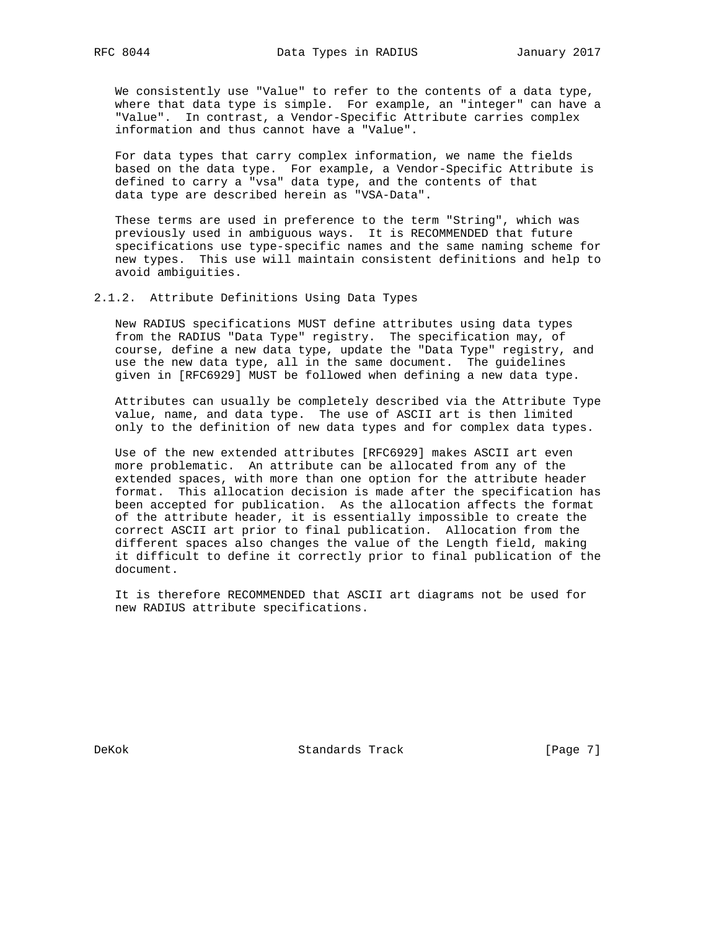We consistently use "Value" to refer to the contents of a data type, where that data type is simple. For example, an "integer" can have a "Value". In contrast, a Vendor-Specific Attribute carries complex information and thus cannot have a "Value".

 For data types that carry complex information, we name the fields based on the data type. For example, a Vendor-Specific Attribute is defined to carry a "vsa" data type, and the contents of that data type are described herein as "VSA-Data".

 These terms are used in preference to the term "String", which was previously used in ambiguous ways. It is RECOMMENDED that future specifications use type-specific names and the same naming scheme for new types. This use will maintain consistent definitions and help to avoid ambiguities.

2.1.2. Attribute Definitions Using Data Types

 New RADIUS specifications MUST define attributes using data types from the RADIUS "Data Type" registry. The specification may, of course, define a new data type, update the "Data Type" registry, and use the new data type, all in the same document. The guidelines given in [RFC6929] MUST be followed when defining a new data type.

 Attributes can usually be completely described via the Attribute Type value, name, and data type. The use of ASCII art is then limited only to the definition of new data types and for complex data types.

 Use of the new extended attributes [RFC6929] makes ASCII art even more problematic. An attribute can be allocated from any of the extended spaces, with more than one option for the attribute header format. This allocation decision is made after the specification has been accepted for publication. As the allocation affects the format of the attribute header, it is essentially impossible to create the correct ASCII art prior to final publication. Allocation from the different spaces also changes the value of the Length field, making it difficult to define it correctly prior to final publication of the document.

 It is therefore RECOMMENDED that ASCII art diagrams not be used for new RADIUS attribute specifications.

DeKok Standards Track [Page 7]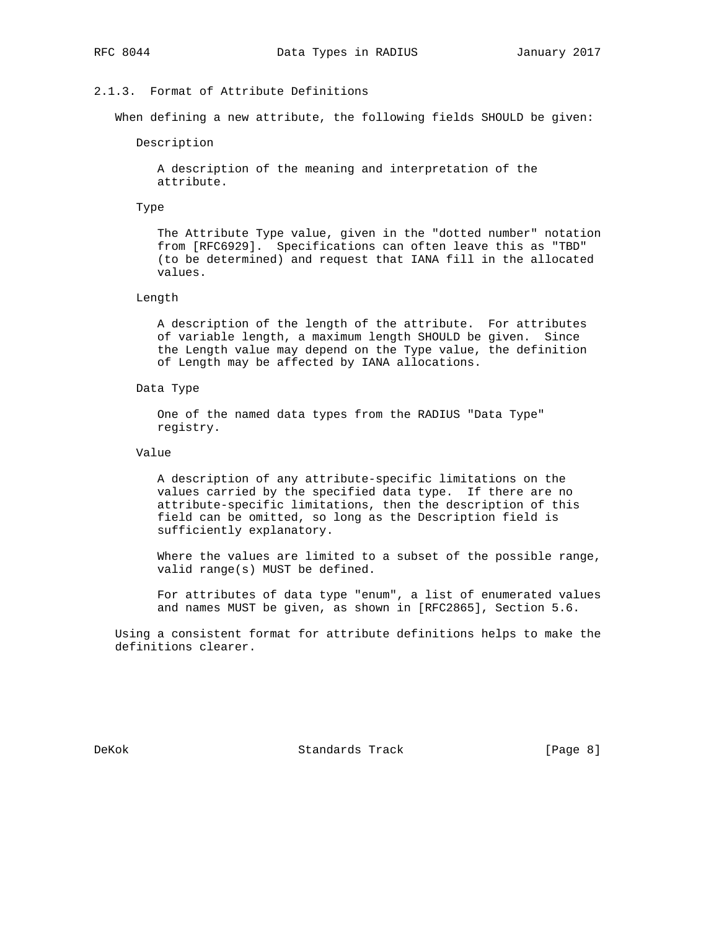# 2.1.3. Format of Attribute Definitions

When defining a new attribute, the following fields SHOULD be given:

Description

 A description of the meaning and interpretation of the attribute.

### Type

 The Attribute Type value, given in the "dotted number" notation from [RFC6929]. Specifications can often leave this as "TBD" (to be determined) and request that IANA fill in the allocated values.

# Length

 A description of the length of the attribute. For attributes of variable length, a maximum length SHOULD be given. Since the Length value may depend on the Type value, the definition of Length may be affected by IANA allocations.

#### Data Type

 One of the named data types from the RADIUS "Data Type" registry.

## Value

 A description of any attribute-specific limitations on the values carried by the specified data type. If there are no attribute-specific limitations, then the description of this field can be omitted, so long as the Description field is sufficiently explanatory.

 Where the values are limited to a subset of the possible range, valid range(s) MUST be defined.

 For attributes of data type "enum", a list of enumerated values and names MUST be given, as shown in [RFC2865], Section 5.6.

 Using a consistent format for attribute definitions helps to make the definitions clearer.

DeKok Standards Track [Page 8]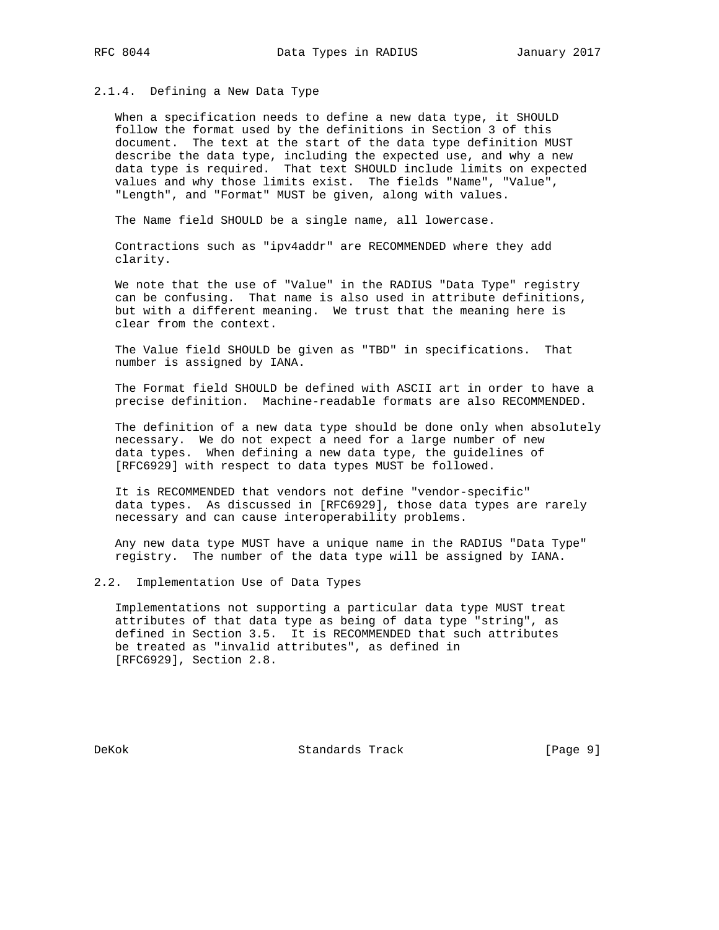## 2.1.4. Defining a New Data Type

 When a specification needs to define a new data type, it SHOULD follow the format used by the definitions in Section 3 of this document. The text at the start of the data type definition MUST describe the data type, including the expected use, and why a new data type is required. That text SHOULD include limits on expected values and why those limits exist. The fields "Name", "Value", "Length", and "Format" MUST be given, along with values.

The Name field SHOULD be a single name, all lowercase.

 Contractions such as "ipv4addr" are RECOMMENDED where they add clarity.

 We note that the use of "Value" in the RADIUS "Data Type" registry can be confusing. That name is also used in attribute definitions, but with a different meaning. We trust that the meaning here is clear from the context.

 The Value field SHOULD be given as "TBD" in specifications. That number is assigned by IANA.

 The Format field SHOULD be defined with ASCII art in order to have a precise definition. Machine-readable formats are also RECOMMENDED.

 The definition of a new data type should be done only when absolutely necessary. We do not expect a need for a large number of new data types. When defining a new data type, the guidelines of [RFC6929] with respect to data types MUST be followed.

 It is RECOMMENDED that vendors not define "vendor-specific" data types. As discussed in [RFC6929], those data types are rarely necessary and can cause interoperability problems.

 Any new data type MUST have a unique name in the RADIUS "Data Type" registry. The number of the data type will be assigned by IANA.

# 2.2. Implementation Use of Data Types

 Implementations not supporting a particular data type MUST treat attributes of that data type as being of data type "string", as defined in Section 3.5. It is RECOMMENDED that such attributes be treated as "invalid attributes", as defined in [RFC6929], Section 2.8.

DeKok Standards Track [Page 9]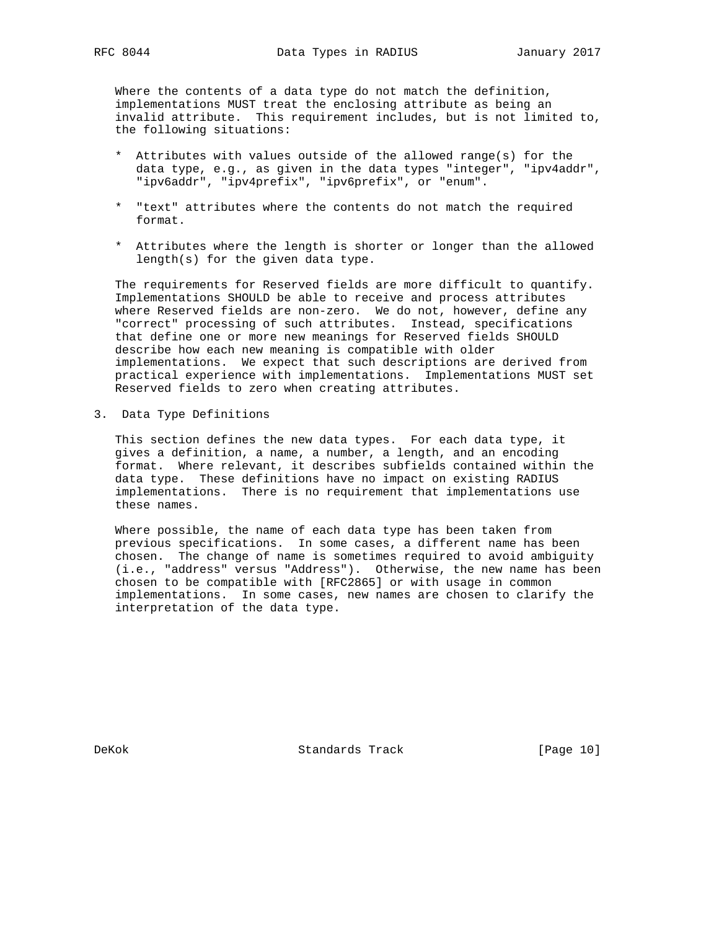Where the contents of a data type do not match the definition, implementations MUST treat the enclosing attribute as being an invalid attribute. This requirement includes, but is not limited to, the following situations:

- \* Attributes with values outside of the allowed range(s) for the data type, e.g., as given in the data types "integer", "ipv4addr", "ipv6addr", "ipv4prefix", "ipv6prefix", or "enum".
- \* "text" attributes where the contents do not match the required format.
- \* Attributes where the length is shorter or longer than the allowed length(s) for the given data type.

 The requirements for Reserved fields are more difficult to quantify. Implementations SHOULD be able to receive and process attributes where Reserved fields are non-zero. We do not, however, define any "correct" processing of such attributes. Instead, specifications that define one or more new meanings for Reserved fields SHOULD describe how each new meaning is compatible with older implementations. We expect that such descriptions are derived from practical experience with implementations. Implementations MUST set Reserved fields to zero when creating attributes.

3. Data Type Definitions

 This section defines the new data types. For each data type, it gives a definition, a name, a number, a length, and an encoding format. Where relevant, it describes subfields contained within the data type. These definitions have no impact on existing RADIUS implementations. There is no requirement that implementations use these names.

 Where possible, the name of each data type has been taken from previous specifications. In some cases, a different name has been chosen. The change of name is sometimes required to avoid ambiguity (i.e., "address" versus "Address"). Otherwise, the new name has been chosen to be compatible with [RFC2865] or with usage in common implementations. In some cases, new names are chosen to clarify the interpretation of the data type.

DeKok Standards Track [Page 10]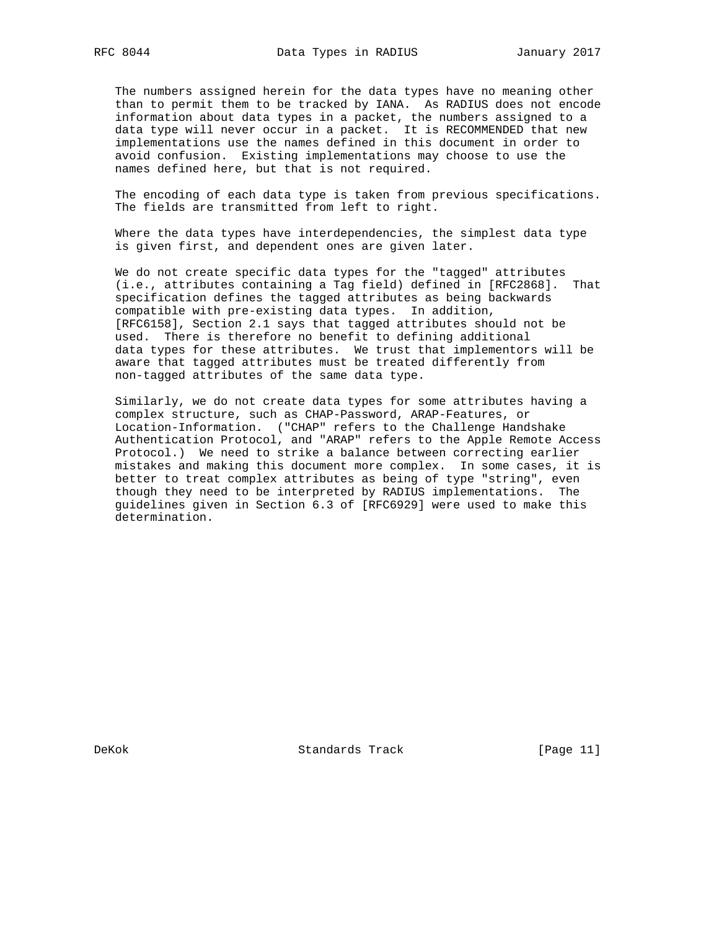The numbers assigned herein for the data types have no meaning other than to permit them to be tracked by IANA. As RADIUS does not encode information about data types in a packet, the numbers assigned to a data type will never occur in a packet. It is RECOMMENDED that new implementations use the names defined in this document in order to avoid confusion. Existing implementations may choose to use the names defined here, but that is not required.

 The encoding of each data type is taken from previous specifications. The fields are transmitted from left to right.

 Where the data types have interdependencies, the simplest data type is given first, and dependent ones are given later.

 We do not create specific data types for the "tagged" attributes (i.e., attributes containing a Tag field) defined in [RFC2868]. That specification defines the tagged attributes as being backwards compatible with pre-existing data types. In addition, [RFC6158], Section 2.1 says that tagged attributes should not be used. There is therefore no benefit to defining additional data types for these attributes. We trust that implementors will be aware that tagged attributes must be treated differently from non-tagged attributes of the same data type.

 Similarly, we do not create data types for some attributes having a complex structure, such as CHAP-Password, ARAP-Features, or Location-Information. ("CHAP" refers to the Challenge Handshake Authentication Protocol, and "ARAP" refers to the Apple Remote Access Protocol.) We need to strike a balance between correcting earlier mistakes and making this document more complex. In some cases, it is better to treat complex attributes as being of type "string", even though they need to be interpreted by RADIUS implementations. The guidelines given in Section 6.3 of [RFC6929] were used to make this determination.

DeKok Standards Track [Page 11]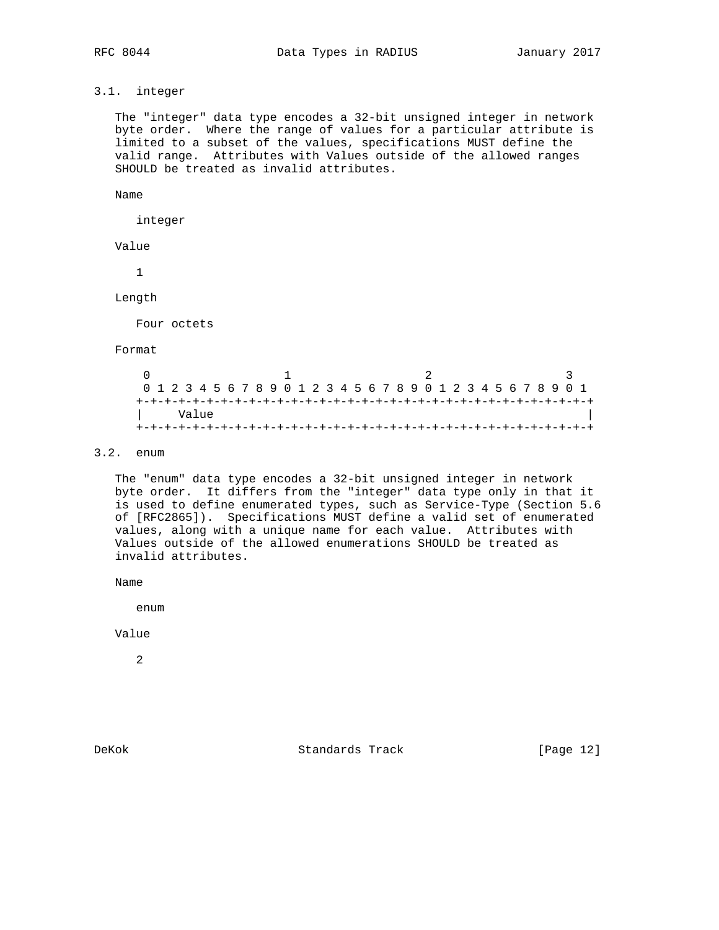# 3.1. integer

 The "integer" data type encodes a 32-bit unsigned integer in network byte order. Where the range of values for a particular attribute is limited to a subset of the values, specifications MUST define the valid range. Attributes with Values outside of the allowed ranges SHOULD be treated as invalid attributes.

Name

integer

Value

1

Length

Four octets

Format

|  | 0 1 2 3 4 5 6 7 8 9 0 1 2 3 4 5 6 7 8 9 0 1 2 3 4 5 6 7 8 9 0 1 |  |  |  |  |  |  |  |  |  |  |  |  |  |  |
|--|-----------------------------------------------------------------|--|--|--|--|--|--|--|--|--|--|--|--|--|--|
|  | Value                                                           |  |  |  |  |  |  |  |  |  |  |  |  |  |  |
|  |                                                                 |  |  |  |  |  |  |  |  |  |  |  |  |  |  |

# 3.2. enum

 The "enum" data type encodes a 32-bit unsigned integer in network byte order. It differs from the "integer" data type only in that it is used to define enumerated types, such as Service-Type (Section 5.6 of [RFC2865]). Specifications MUST define a valid set of enumerated values, along with a unique name for each value. Attributes with Values outside of the allowed enumerations SHOULD be treated as invalid attributes.

Name

enum

Value

2

DeKok Standards Track [Page 12]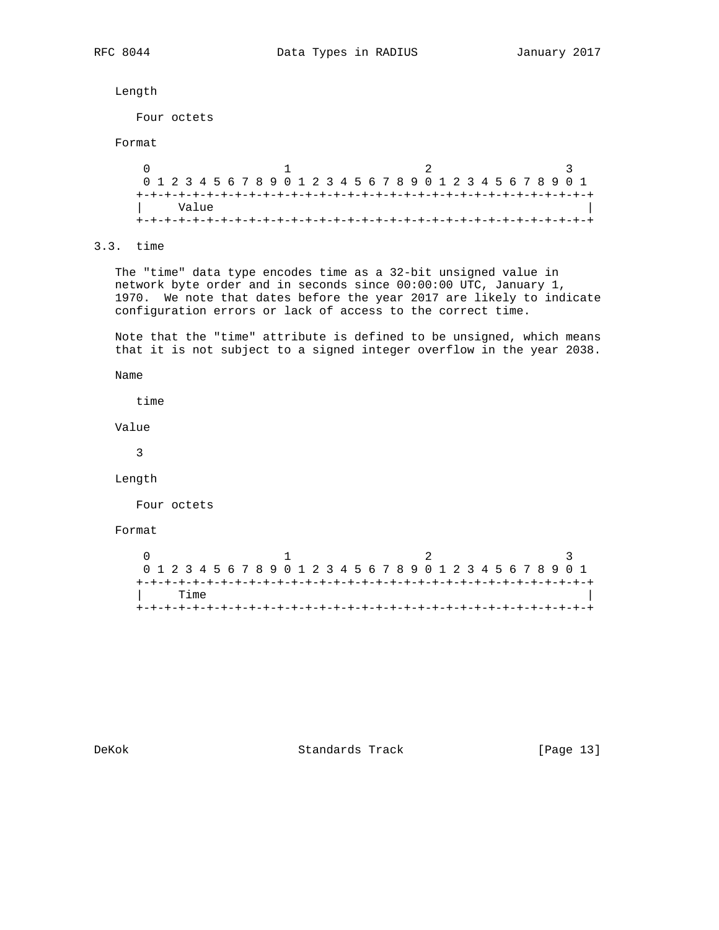Length

Four octets

# Format

 $0$  1 2 3 0 1 2 3 4 5 6 7 8 9 0 1 2 3 4 5 6 7 8 9 0 1 2 3 4 5 6 7 8 9 0 1 +-+-+-+-+-+-+-+-+-+-+-+-+-+-+-+-+-+-+-+-+-+-+-+-+-+-+-+-+-+-+-+-+ | Value | +-+-+-+-+-+-+-+-+-+-+-+-+-+-+-+-+-+-+-+-+-+-+-+-+-+-+-+-+-+-+-+-+

# 3.3. time

 The "time" data type encodes time as a 32-bit unsigned value in network byte order and in seconds since 00:00:00 UTC, January 1, 1970. We note that dates before the year 2017 are likely to indicate configuration errors or lack of access to the correct time.

 Note that the "time" attribute is defined to be unsigned, which means that it is not subject to a signed integer overflow in the year 2038.

Name

time

Value

3

Length

Four octets

### Format

| 0 1 2 3 4 5 6 7 8 9 0 1 2 3 4 5 6 7 8 9 0 1 2 3 4 5 6 7 8 9 0 1 |      |  |  |  |  |  |  |  |  |  |  |  |  |  |  |
|-----------------------------------------------------------------|------|--|--|--|--|--|--|--|--|--|--|--|--|--|--|
|                                                                 |      |  |  |  |  |  |  |  |  |  |  |  |  |  |  |
|                                                                 | Time |  |  |  |  |  |  |  |  |  |  |  |  |  |  |
|                                                                 |      |  |  |  |  |  |  |  |  |  |  |  |  |  |  |

DeKok Standards Track [Page 13]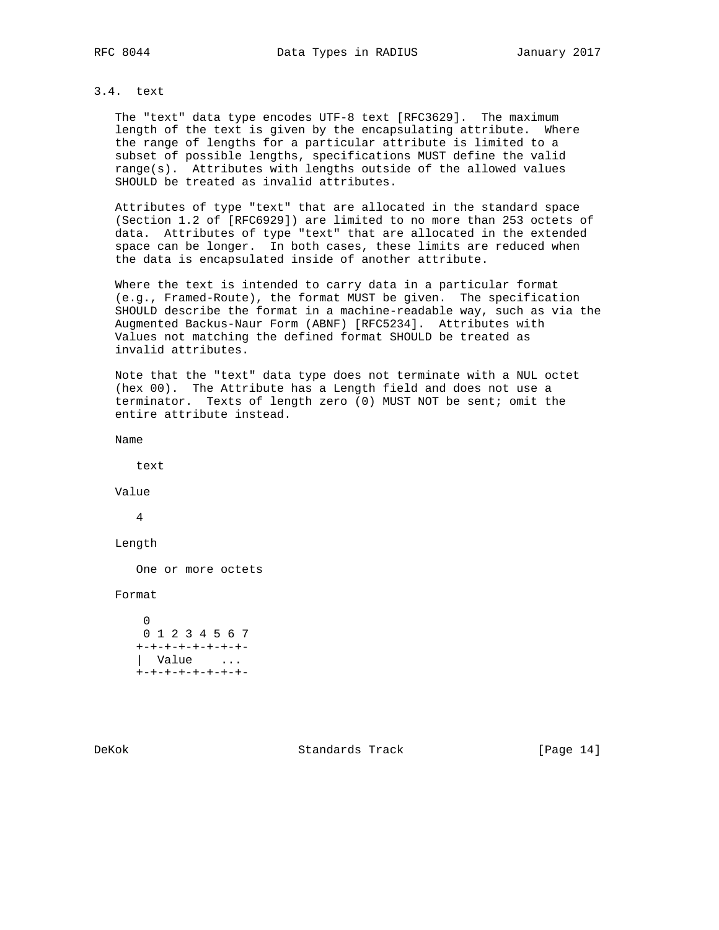# 3.4. text

 The "text" data type encodes UTF-8 text [RFC3629]. The maximum length of the text is given by the encapsulating attribute. Where the range of lengths for a particular attribute is limited to a subset of possible lengths, specifications MUST define the valid range(s). Attributes with lengths outside of the allowed values SHOULD be treated as invalid attributes.

 Attributes of type "text" that are allocated in the standard space (Section 1.2 of [RFC6929]) are limited to no more than 253 octets of data. Attributes of type "text" that are allocated in the extended space can be longer. In both cases, these limits are reduced when the data is encapsulated inside of another attribute.

 Where the text is intended to carry data in a particular format (e.g., Framed-Route), the format MUST be given. The specification SHOULD describe the format in a machine-readable way, such as via the Augmented Backus-Naur Form (ABNF) [RFC5234]. Attributes with Values not matching the defined format SHOULD be treated as invalid attributes.

 Note that the "text" data type does not terminate with a NUL octet (hex 00). The Attribute has a Length field and does not use a terminator. Texts of length zero (0) MUST NOT be sent; omit the entire attribute instead.

Name

text

Value

4

Length

One or more octets

Format

 0 0 1 2 3 4 5 6 7 +-+-+-+-+-+-+-+- | Value ... +-+-+-+-+-+-+-+-

DeKok Standards Track [Page 14]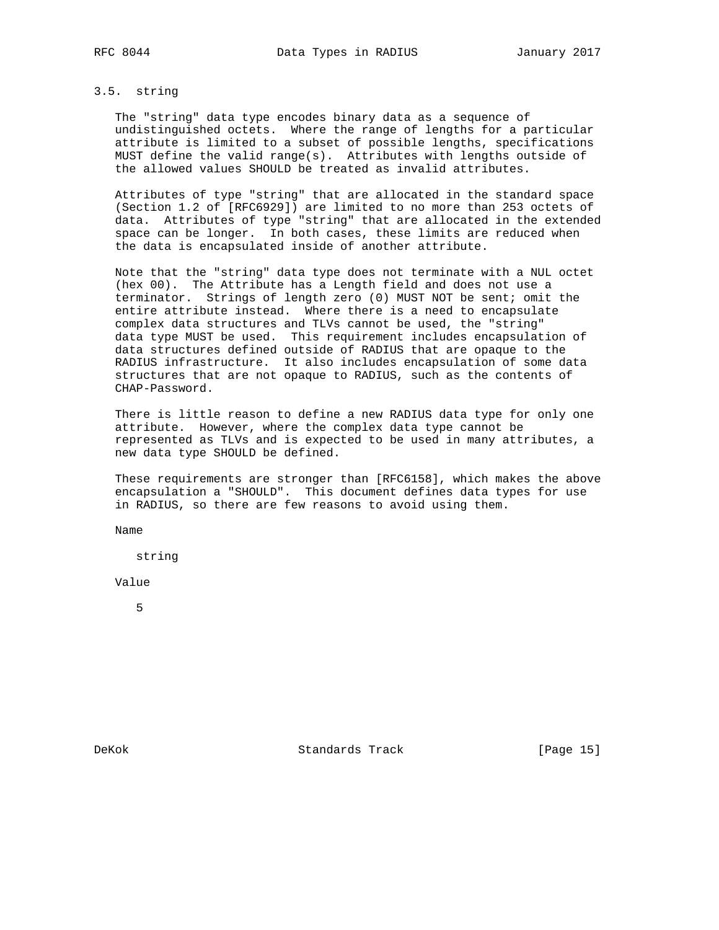# 3.5. string

 The "string" data type encodes binary data as a sequence of undistinguished octets. Where the range of lengths for a particular attribute is limited to a subset of possible lengths, specifications MUST define the valid range(s). Attributes with lengths outside of the allowed values SHOULD be treated as invalid attributes.

 Attributes of type "string" that are allocated in the standard space (Section 1.2 of [RFC6929]) are limited to no more than 253 octets of data. Attributes of type "string" that are allocated in the extended space can be longer. In both cases, these limits are reduced when the data is encapsulated inside of another attribute.

 Note that the "string" data type does not terminate with a NUL octet (hex 00). The Attribute has a Length field and does not use a terminator. Strings of length zero (0) MUST NOT be sent; omit the entire attribute instead. Where there is a need to encapsulate complex data structures and TLVs cannot be used, the "string" data type MUST be used. This requirement includes encapsulation of data structures defined outside of RADIUS that are opaque to the RADIUS infrastructure. It also includes encapsulation of some data structures that are not opaque to RADIUS, such as the contents of CHAP-Password.

 There is little reason to define a new RADIUS data type for only one attribute. However, where the complex data type cannot be represented as TLVs and is expected to be used in many attributes, a new data type SHOULD be defined.

 These requirements are stronger than [RFC6158], which makes the above encapsulation a "SHOULD". This document defines data types for use in RADIUS, so there are few reasons to avoid using them.

Name

string

Value

5

DeKok Standards Track [Page 15]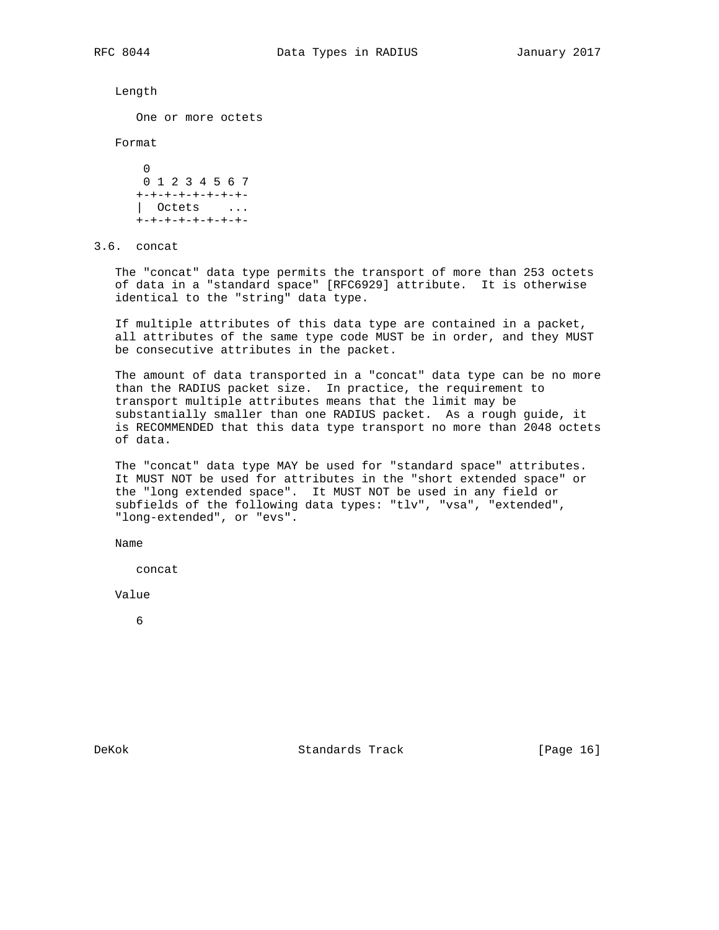Length

One or more octets

Format

```
0
      0 1 2 3 4 5 6 7
      +-+-+-+-+-+-+-+-
      | Octets ...
      +-+-+-+-+-+-+-+-
```
3.6. concat

 The "concat" data type permits the transport of more than 253 octets of data in a "standard space" [RFC6929] attribute. It is otherwise identical to the "string" data type.

 If multiple attributes of this data type are contained in a packet, all attributes of the same type code MUST be in order, and they MUST be consecutive attributes in the packet.

 The amount of data transported in a "concat" data type can be no more than the RADIUS packet size. In practice, the requirement to transport multiple attributes means that the limit may be substantially smaller than one RADIUS packet. As a rough guide, it is RECOMMENDED that this data type transport no more than 2048 octets of data.

 The "concat" data type MAY be used for "standard space" attributes. It MUST NOT be used for attributes in the "short extended space" or the "long extended space". It MUST NOT be used in any field or subfields of the following data types: "tlv", "vsa", "extended", "long-extended", or "evs".

Name

concat

Value

6

DeKok Standards Track [Page 16]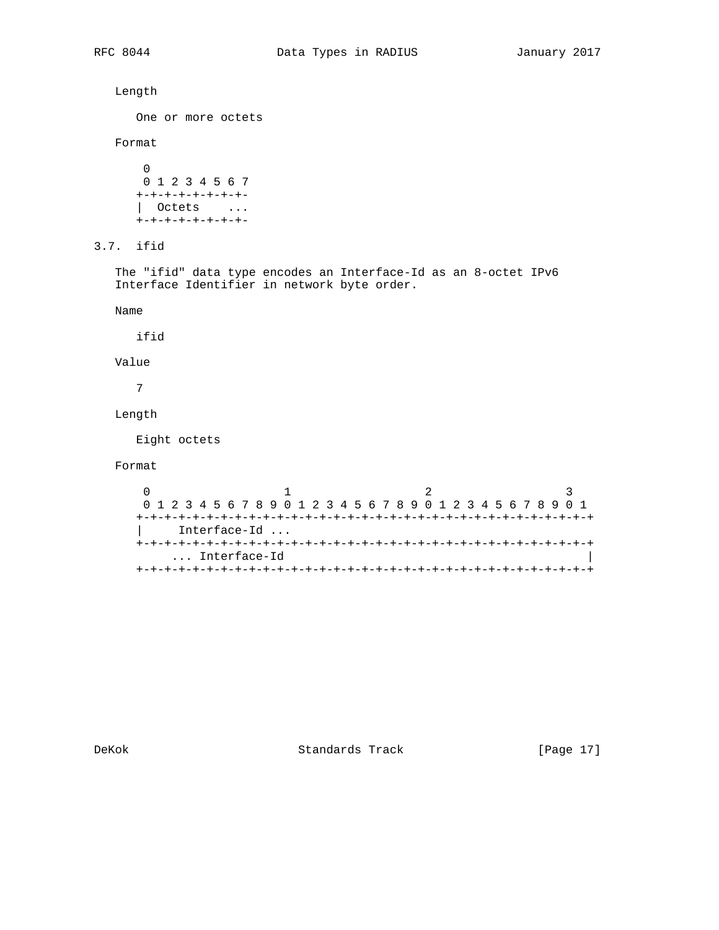```
 Length
      One or more octets
   Format
      \overline{0} 0 1 2 3 4 5 6 7
      +-+-+-+-+-+-+-+-
      | Octets ...
      +-+-+-+-+-+-+-+-
3.7. ifid
   The "ifid" data type encodes an Interface-Id as an 8-octet IPv6
   Interface Identifier in network byte order.
   Name
     ifid
   Value
      7
   Length
      Eight octets
   Format
0 1 2 3
 0 1 2 3 4 5 6 7 8 9 0 1 2 3 4 5 6 7 8 9 0 1 2 3 4 5 6 7 8 9 0 1
      +-+-+-+-+-+-+-+-+-+-+-+-+-+-+-+-+-+-+-+-+-+-+-+-+-+-+-+-+-+-+-+-+
           | Interface-Id ...
      +-+-+-+-+-+-+-+-+-+-+-+-+-+-+-+-+-+-+-+-+-+-+-+-+-+-+-+-+-+-+-+-+
           ... Interface-Id |
      +-+-+-+-+-+-+-+-+-+-+-+-+-+-+-+-+-+-+-+-+-+-+-+-+-+-+-+-+-+-+-+-+
```
DeKok **Standards Track** [Page 17]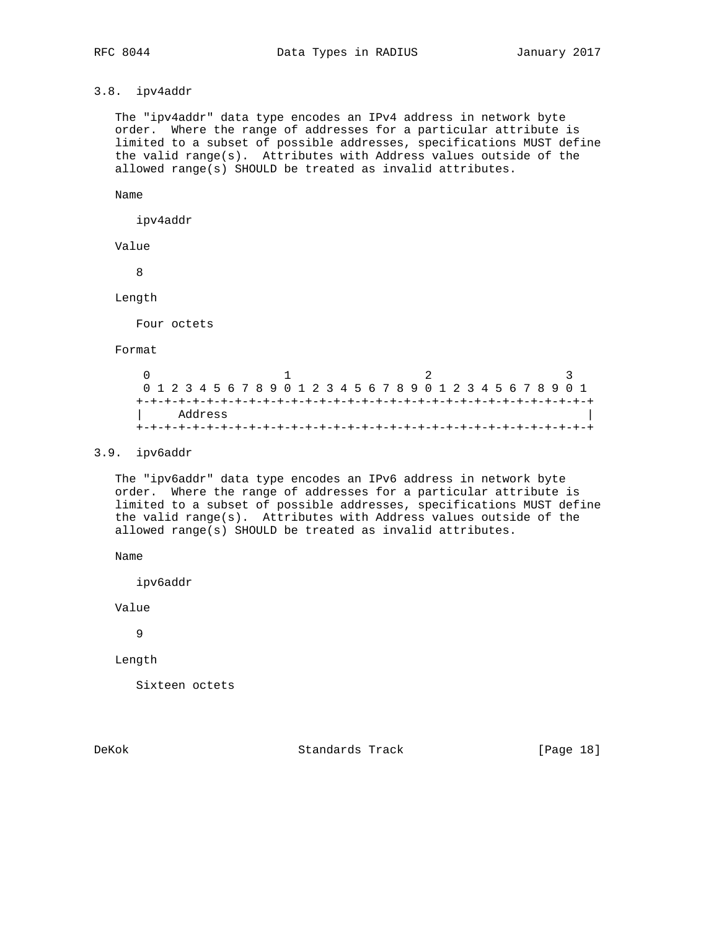# 3.8. ipv4addr

 The "ipv4addr" data type encodes an IPv4 address in network byte order. Where the range of addresses for a particular attribute is limited to a subset of possible addresses, specifications MUST define the valid range(s). Attributes with Address values outside of the allowed range(s) SHOULD be treated as invalid attributes.

Name

ipv4addr

Value

8

Length

Four octets

Format

|         | 0 1 2 3 4 5 6 7 8 9 0 1 2 3 4 5 6 7 8 9 0 1 2 3 4 5 6 7 8 9 0 1 |  |
|---------|-----------------------------------------------------------------|--|
|         |                                                                 |  |
| Address |                                                                 |  |
|         |                                                                 |  |

# 3.9. ipv6addr

 The "ipv6addr" data type encodes an IPv6 address in network byte order. Where the range of addresses for a particular attribute is limited to a subset of possible addresses, specifications MUST define the valid range(s). Attributes with Address values outside of the allowed range(s) SHOULD be treated as invalid attributes.

Name

ipv6addr

Value

9

Length

Sixteen octets

DeKok **Standards Track** [Page 18]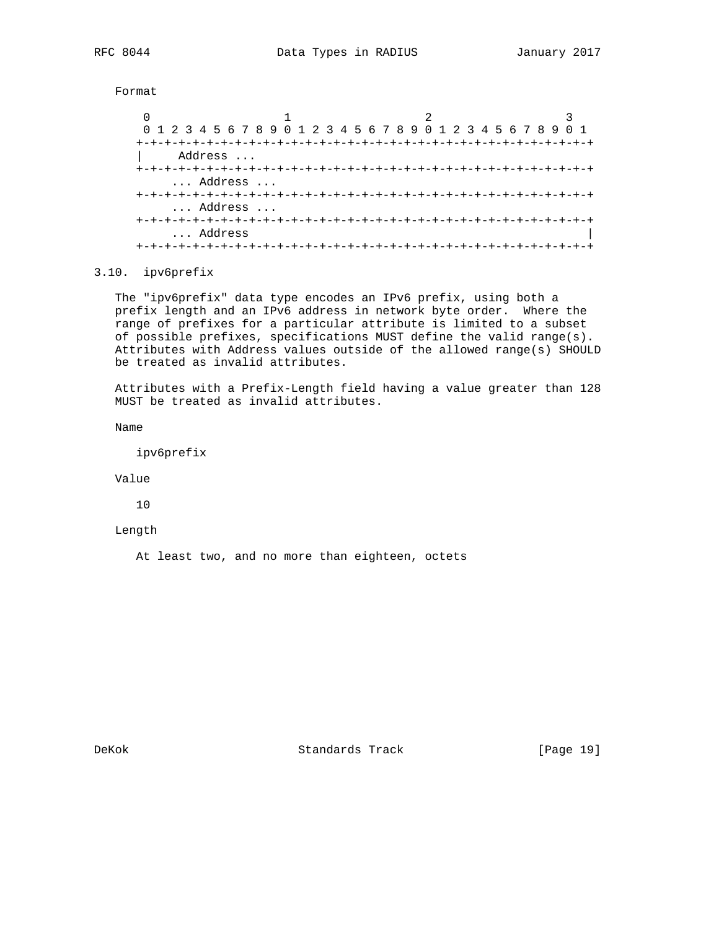Format

| 0 1 2 3 4 5 6 7 8 9 0 1 2 3 4 5 6 7 8 9 0 1 2 3 4 5 6 7 8 9 0 1 |         |  |  |  |  |  |                                     |  |  |  |  |
|-----------------------------------------------------------------|---------|--|--|--|--|--|-------------------------------------|--|--|--|--|
|                                                                 |         |  |  |  |  |  |                                     |  |  |  |  |
|                                                                 | Address |  |  |  |  |  |                                     |  |  |  |  |
|                                                                 |         |  |  |  |  |  |                                     |  |  |  |  |
|                                                                 | Address |  |  |  |  |  |                                     |  |  |  |  |
|                                                                 |         |  |  |  |  |  |                                     |  |  |  |  |
|                                                                 | Address |  |  |  |  |  |                                     |  |  |  |  |
| +-+-+-+-+-+-+-+-+-+                                             |         |  |  |  |  |  | -+-+-+-+-+-+-+-+-+-+-+-+-+-+-+-+-+- |  |  |  |  |
|                                                                 | Address |  |  |  |  |  |                                     |  |  |  |  |
| +-+-+-+-+-+-+-+-+-                                              |         |  |  |  |  |  |                                     |  |  |  |  |

## 3.10. ipv6prefix

 The "ipv6prefix" data type encodes an IPv6 prefix, using both a prefix length and an IPv6 address in network byte order. Where the range of prefixes for a particular attribute is limited to a subset of possible prefixes, specifications MUST define the valid range(s). Attributes with Address values outside of the allowed range(s) SHOULD be treated as invalid attributes.

 Attributes with a Prefix-Length field having a value greater than 128 MUST be treated as invalid attributes.

Name

ipv6prefix

Value

10

Length

At least two, and no more than eighteen, octets

DeKok Standards Track [Page 19]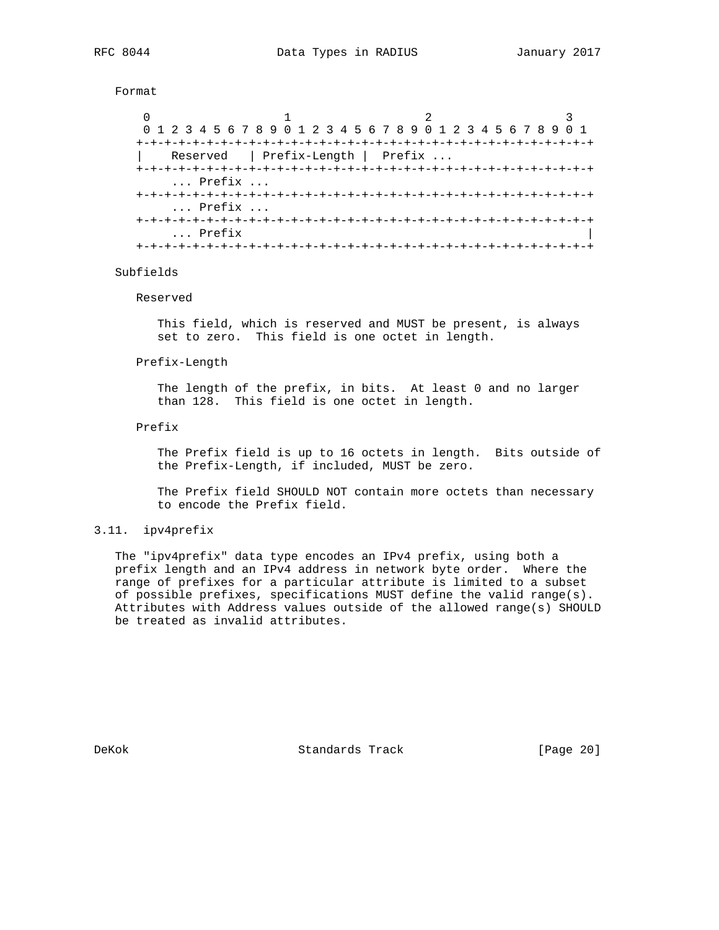Format

```
0 1 2 3
      0 1 2 3 4 5 6 7 8 9 0 1 2 3 4 5 6 7 8 9 0 1 2 3 4 5 6 7 8 9 0 1
      +-+-+-+-+-+-+-+-+-+-+-+-+-+-+-+-+-+-+-+-+-+-+-+-+-+-+-+-+-+-+-+-+
         Reserved | Prefix-Length | Prefix ...
      +-+-+-+-+-+-+-+-+-+-+-+-+-+-+-+-+-+-+-+-+-+-+-+-+-+-+-+-+-+-+-+-+
          ... Prefix ...
      +-+-+-+-+-+-+-+-+-+-+-+-+-+-+-+-+-+-+-+-+-+-+-+-+-+-+-+-+-+-+-+-+
          ... Prefix ...
      +-+-+-+-+-+-+-+-+-+-+-+-+-+-+-+-+-+-+-+-+-+-+-+-+-+-+-+-+-+-+-+-+
         ... Prefix
      +-+-+-+-+-+-+-+-+-+-+-+-+-+-+-+-+-+-+-+-+-+-+-+-+-+-+-+-+-+-+-+-+
```
### Subfields

Reserved

 This field, which is reserved and MUST be present, is always set to zero. This field is one octet in length.

Prefix-Length

 The length of the prefix, in bits. At least 0 and no larger than 128. This field is one octet in length.

Prefix

 The Prefix field is up to 16 octets in length. Bits outside of the Prefix-Length, if included, MUST be zero.

 The Prefix field SHOULD NOT contain more octets than necessary to encode the Prefix field.

## 3.11. ipv4prefix

 The "ipv4prefix" data type encodes an IPv4 prefix, using both a prefix length and an IPv4 address in network byte order. Where the range of prefixes for a particular attribute is limited to a subset of possible prefixes, specifications MUST define the valid range(s). Attributes with Address values outside of the allowed range(s) SHOULD be treated as invalid attributes.

DeKok Standards Track [Page 20]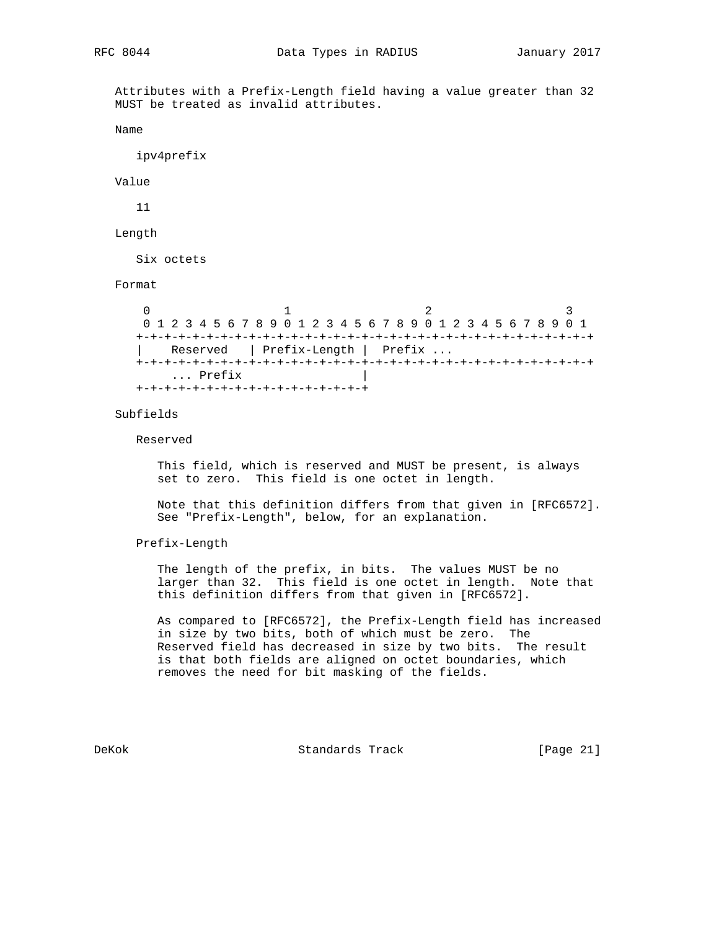Attributes with a Prefix-Length field having a value greater than 32 MUST be treated as invalid attributes.

Name

ipv4prefix

Value

11

Length

Six octets

### Format

0  $1$  2 3 0 1 2 3 4 5 6 7 8 9 0 1 2 3 4 5 6 7 8 9 0 1 2 3 4 5 6 7 8 9 0 1 +-+-+-+-+-+-+-+-+-+-+-+-+-+-+-+-+-+-+-+-+-+-+-+-+-+-+-+-+-+-+-+-+ | Reserved | Prefix-Length | Prefix ... +-+-+-+-+-+-+-+-+-+-+-+-+-+-+-+-+-+-+-+-+-+-+-+-+-+-+-+-+-+-+-+-+ ... Prefix +-+-+-+-+-+-+-+-+-+-+-+-+-+-+-+-+

Subfields

Reserved

 This field, which is reserved and MUST be present, is always set to zero. This field is one octet in length.

 Note that this definition differs from that given in [RFC6572]. See "Prefix-Length", below, for an explanation.

Prefix-Length

 The length of the prefix, in bits. The values MUST be no larger than 32. This field is one octet in length. Note that this definition differs from that given in [RFC6572].

 As compared to [RFC6572], the Prefix-Length field has increased in size by two bits, both of which must be zero. The Reserved field has decreased in size by two bits. The result is that both fields are aligned on octet boundaries, which removes the need for bit masking of the fields.

DeKok Standards Track [Page 21]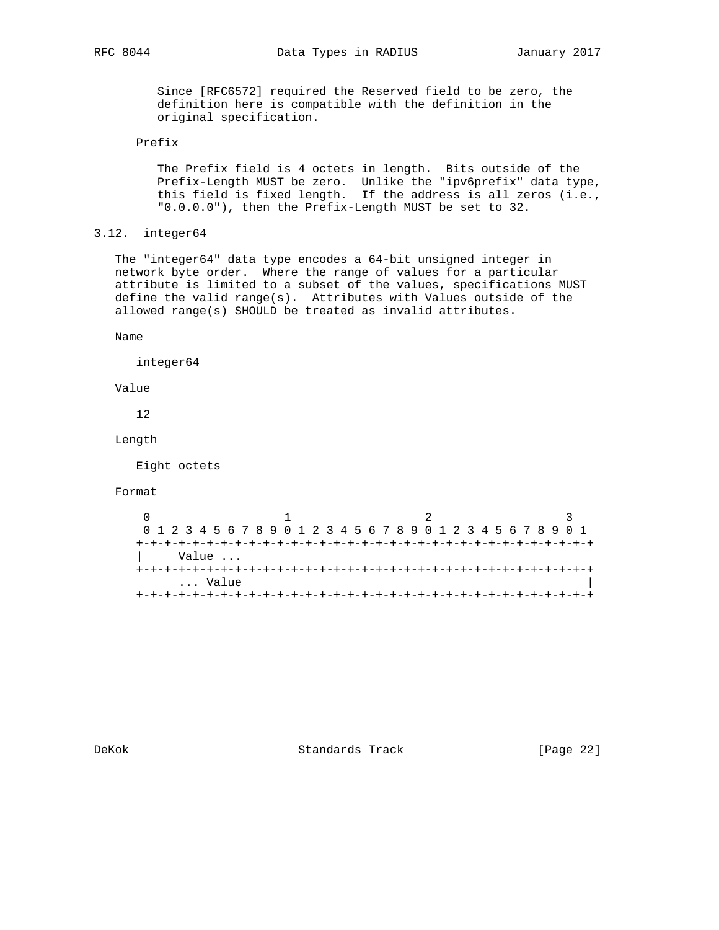Since [RFC6572] required the Reserved field to be zero, the definition here is compatible with the definition in the original specification.

# Prefix

 The Prefix field is 4 octets in length. Bits outside of the Prefix-Length MUST be zero. Unlike the "ipv6prefix" data type, this field is fixed length. If the address is all zeros (i.e., "0.0.0.0"), then the Prefix-Length MUST be set to 32.

```
3.12. integer64
```
 The "integer64" data type encodes a 64-bit unsigned integer in network byte order. Where the range of values for a particular attribute is limited to a subset of the values, specifications MUST define the valid range(s). Attributes with Values outside of the allowed range(s) SHOULD be treated as invalid attributes.

Name

integer64

Value

12

Length

Eight octets

# Format

| 0 1 2 3 4 5 6 7 8 9 0 1 2 3 4 5 6 7 8 9 0 1 2 3 4 5 6 7 8 9 0 1 |  |       |  |  |  |  |  |  |  |  |  |  |  |
|-----------------------------------------------------------------|--|-------|--|--|--|--|--|--|--|--|--|--|--|
|                                                                 |  |       |  |  |  |  |  |  |  |  |  |  |  |
|                                                                 |  | Value |  |  |  |  |  |  |  |  |  |  |  |
|                                                                 |  |       |  |  |  |  |  |  |  |  |  |  |  |
|                                                                 |  | Value |  |  |  |  |  |  |  |  |  |  |  |
|                                                                 |  |       |  |  |  |  |  |  |  |  |  |  |  |

DeKok Standards Track [Page 22]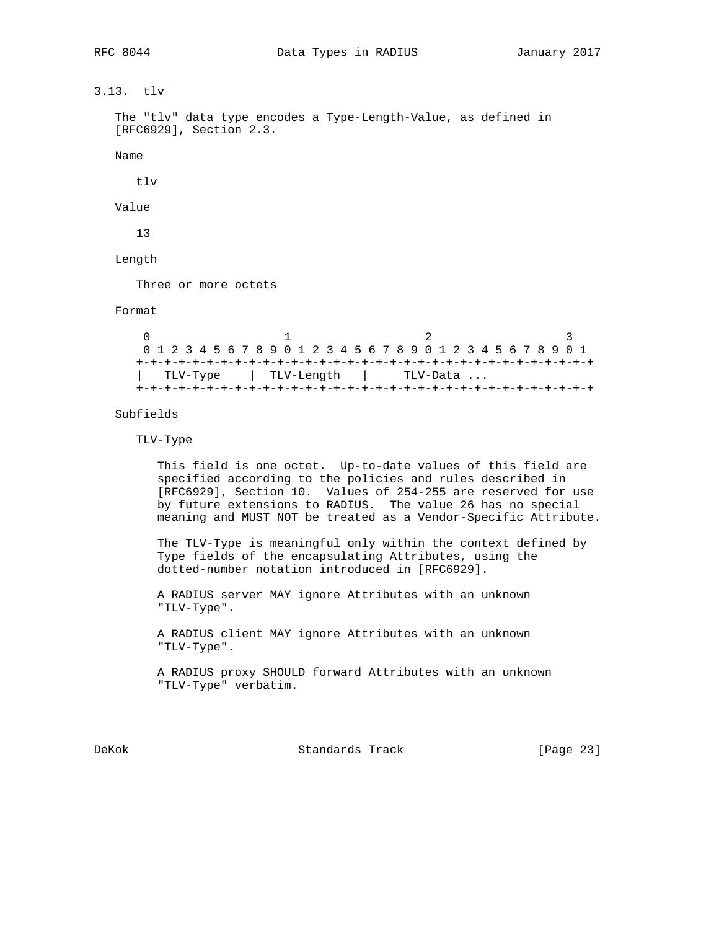3.13. tlv

```
 The "tlv" data type encodes a Type-Length-Value, as defined in
 [RFC6929], Section 2.3.
```
Name

tlv

Value

13

Length

Three or more octets

Format

 $0$  1 2 3 0 1 2 3 4 5 6 7 8 9 0 1 2 3 4 5 6 7 8 9 0 1 2 3 4 5 6 7 8 9 0 1 +-+-+-+-+-+-+-+-+-+-+-+-+-+-+-+-+-+-+-+-+-+-+-+-+-+-+-+-+-+-+-+-+ | TLV-Type | TLV-Length | TLV-Data ... +-+-+-+-+-+-+-+-+-+-+-+-+-+-+-+-+-+-+-+-+-+-+-+-+-+-+-+-+-+-+-+-+

Subfields

TLV-Type

 This field is one octet. Up-to-date values of this field are specified according to the policies and rules described in [RFC6929], Section 10. Values of 254-255 are reserved for use by future extensions to RADIUS. The value 26 has no special meaning and MUST NOT be treated as a Vendor-Specific Attribute.

 The TLV-Type is meaningful only within the context defined by Type fields of the encapsulating Attributes, using the dotted-number notation introduced in [RFC6929].

 A RADIUS server MAY ignore Attributes with an unknown "TLV-Type".

 A RADIUS client MAY ignore Attributes with an unknown "TLV-Type".

 A RADIUS proxy SHOULD forward Attributes with an unknown "TLV-Type" verbatim.

DeKok **Standards Track** [Page 23]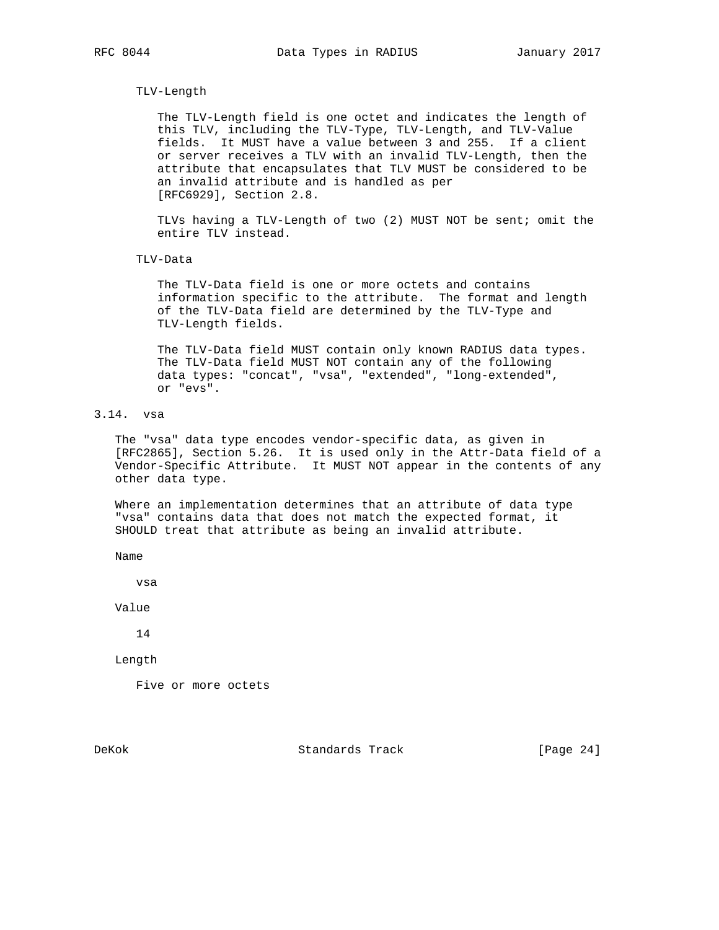## TLV-Length

 The TLV-Length field is one octet and indicates the length of this TLV, including the TLV-Type, TLV-Length, and TLV-Value fields. It MUST have a value between 3 and 255. If a client or server receives a TLV with an invalid TLV-Length, then the attribute that encapsulates that TLV MUST be considered to be an invalid attribute and is handled as per [RFC6929], Section 2.8.

 TLVs having a TLV-Length of two (2) MUST NOT be sent; omit the entire TLV instead.

TLV-Data

 The TLV-Data field is one or more octets and contains information specific to the attribute. The format and length of the TLV-Data field are determined by the TLV-Type and TLV-Length fields.

 The TLV-Data field MUST contain only known RADIUS data types. The TLV-Data field MUST NOT contain any of the following data types: "concat", "vsa", "extended", "long-extended", or "evs".

# 3.14. vsa

 The "vsa" data type encodes vendor-specific data, as given in [RFC2865], Section 5.26. It is used only in the Attr-Data field of a Vendor-Specific Attribute. It MUST NOT appear in the contents of any other data type.

 Where an implementation determines that an attribute of data type "vsa" contains data that does not match the expected format, it SHOULD treat that attribute as being an invalid attribute.

Name

vsa

Value

14

Length

Five or more octets

DeKok **Standards Track** [Page 24]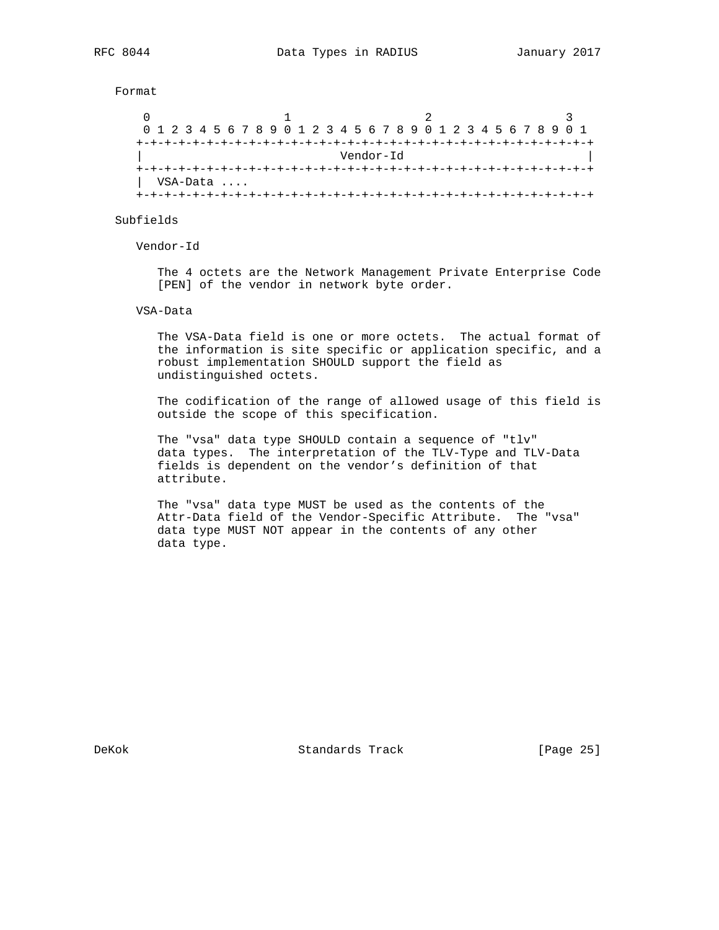Format

| 0 1 2 3 4 5 6 7 8 9 0 1 2 3 4 5 6 7 8 9 0 1 2 3 4 5 6 7 8 9 0 1 |          |  |  |  |  |  |  |  |  |  |  |  |  |  |  |  |  |  |  |  |  |  |
|-----------------------------------------------------------------|----------|--|--|--|--|--|--|--|--|--|--|--|--|--|--|--|--|--|--|--|--|--|
|                                                                 |          |  |  |  |  |  |  |  |  |  |  |  |  |  |  |  |  |  |  |  |  |  |
| Vendor-Id                                                       |          |  |  |  |  |  |  |  |  |  |  |  |  |  |  |  |  |  |  |  |  |  |
|                                                                 |          |  |  |  |  |  |  |  |  |  |  |  |  |  |  |  |  |  |  |  |  |  |
|                                                                 | VSA-Data |  |  |  |  |  |  |  |  |  |  |  |  |  |  |  |  |  |  |  |  |  |
|                                                                 |          |  |  |  |  |  |  |  |  |  |  |  |  |  |  |  |  |  |  |  |  |  |

Subfields

Vendor-Id

 The 4 octets are the Network Management Private Enterprise Code [PEN] of the vendor in network byte order.

#### VSA-Data

 The VSA-Data field is one or more octets. The actual format of the information is site specific or application specific, and a robust implementation SHOULD support the field as undistinguished octets.

 The codification of the range of allowed usage of this field is outside the scope of this specification.

 The "vsa" data type SHOULD contain a sequence of "tlv" data types. The interpretation of the TLV-Type and TLV-Data fields is dependent on the vendor's definition of that attribute.

 The "vsa" data type MUST be used as the contents of the Attr-Data field of the Vendor-Specific Attribute. The "vsa" data type MUST NOT appear in the contents of any other data type.

DeKok Standards Track [Page 25]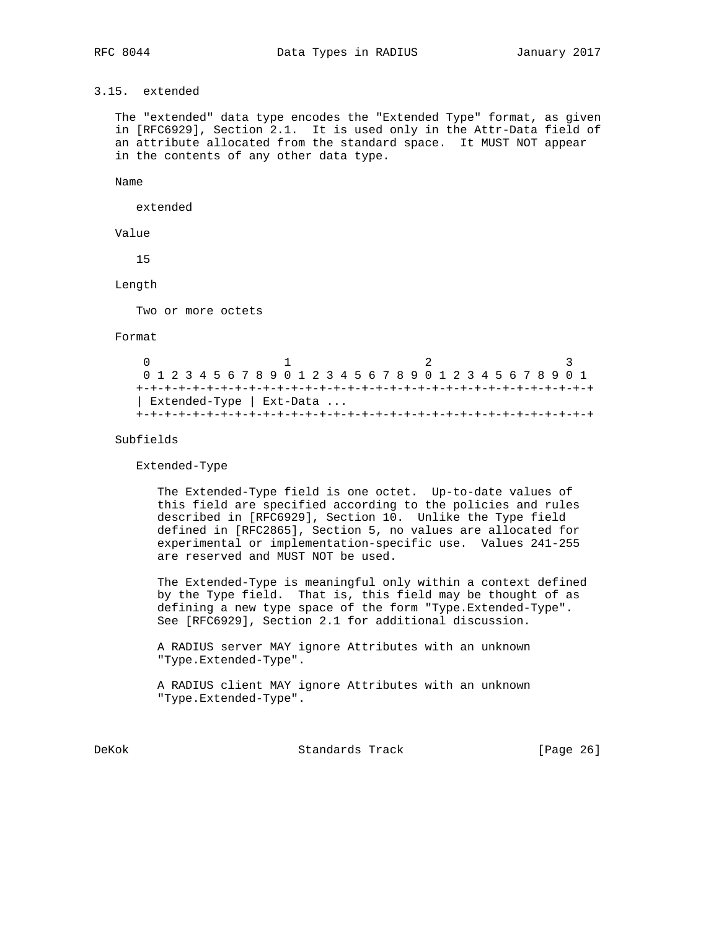# 3.15. extended

 The "extended" data type encodes the "Extended Type" format, as given in [RFC6929], Section 2.1. It is used only in the Attr-Data field of an attribute allocated from the standard space. It MUST NOT appear in the contents of any other data type.

Name

extended

Value

15

Length

Two or more octets

Format

 $0$  1 2 3 0 1 2 3 4 5 6 7 8 9 0 1 2 3 4 5 6 7 8 9 0 1 2 3 4 5 6 7 8 9 0 1 +-+-+-+-+-+-+-+-+-+-+-+-+-+-+-+-+-+-+-+-+-+-+-+-+-+-+-+-+-+-+-+-+ | Extended-Type | Ext-Data ... +-+-+-+-+-+-+-+-+-+-+-+-+-+-+-+-+-+-+-+-+-+-+-+-+-+-+-+-+-+-+-+-+

Subfields

Extended-Type

 The Extended-Type field is one octet. Up-to-date values of this field are specified according to the policies and rules described in [RFC6929], Section 10. Unlike the Type field defined in [RFC2865], Section 5, no values are allocated for experimental or implementation-specific use. Values 241-255 are reserved and MUST NOT be used.

 The Extended-Type is meaningful only within a context defined by the Type field. That is, this field may be thought of as defining a new type space of the form "Type.Extended-Type". See [RFC6929], Section 2.1 for additional discussion.

 A RADIUS server MAY ignore Attributes with an unknown "Type.Extended-Type".

 A RADIUS client MAY ignore Attributes with an unknown "Type.Extended-Type".

DeKok **Standards Track** [Page 26]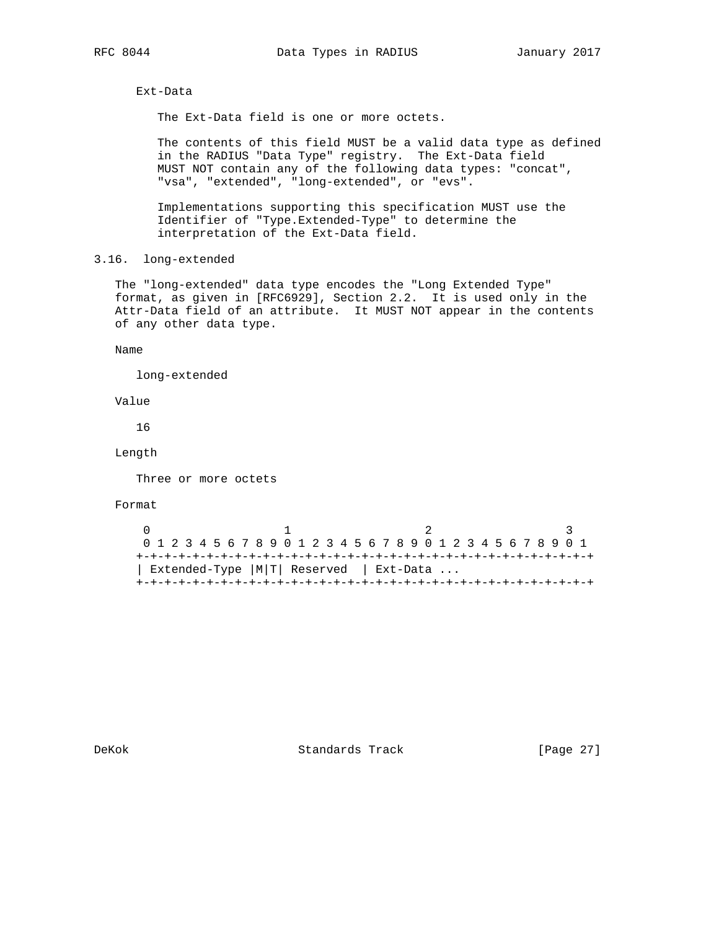Ext-Data

The Ext-Data field is one or more octets.

 The contents of this field MUST be a valid data type as defined in the RADIUS "Data Type" registry. The Ext-Data field MUST NOT contain any of the following data types: "concat", "vsa", "extended", "long-extended", or "evs".

 Implementations supporting this specification MUST use the Identifier of "Type.Extended-Type" to determine the interpretation of the Ext-Data field.

3.16. long-extended

 The "long-extended" data type encodes the "Long Extended Type" format, as given in [RFC6929], Section 2.2. It is used only in the Attr-Data field of an attribute. It MUST NOT appear in the contents of any other data type.

Name

long-extended

Value

16

Length

Three or more octets

Format

 $\begin{array}{ccccccc}\n0 & & & 1 & & & 2 & & 3\n\end{array}$  0 1 2 3 4 5 6 7 8 9 0 1 2 3 4 5 6 7 8 9 0 1 2 3 4 5 6 7 8 9 0 1 +-+-+-+-+-+-+-+-+-+-+-+-+-+-+-+-+-+-+-+-+-+-+-+-+-+-+-+-+-+-+-+-+ | Extended-Type |M|T| Reserved | Ext-Data ... +-+-+-+-+-+-+-+-+-+-+-+-+-+-+-+-+-+-+-+-+-+-+-+-+-+-+-+-+-+-+-+-+

DeKok Standards Track [Page 27]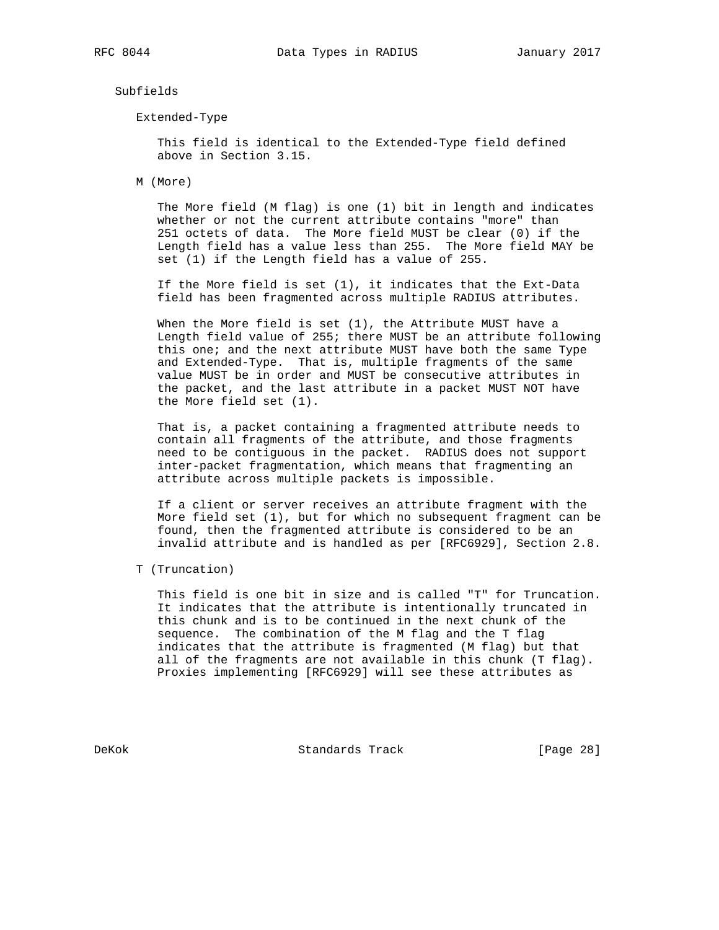Subfields

Extended-Type

 This field is identical to the Extended-Type field defined above in Section 3.15.

M (More)

 The More field (M flag) is one (1) bit in length and indicates whether or not the current attribute contains "more" than 251 octets of data. The More field MUST be clear (0) if the Length field has a value less than 255. The More field MAY be set (1) if the Length field has a value of 255.

 If the More field is set (1), it indicates that the Ext-Data field has been fragmented across multiple RADIUS attributes.

 When the More field is set (1), the Attribute MUST have a Length field value of 255; there MUST be an attribute following this one; and the next attribute MUST have both the same Type and Extended-Type. That is, multiple fragments of the same value MUST be in order and MUST be consecutive attributes in the packet, and the last attribute in a packet MUST NOT have the More field set (1).

 That is, a packet containing a fragmented attribute needs to contain all fragments of the attribute, and those fragments need to be contiguous in the packet. RADIUS does not support inter-packet fragmentation, which means that fragmenting an attribute across multiple packets is impossible.

 If a client or server receives an attribute fragment with the More field set (1), but for which no subsequent fragment can be found, then the fragmented attribute is considered to be an invalid attribute and is handled as per [RFC6929], Section 2.8.

T (Truncation)

 This field is one bit in size and is called "T" for Truncation. It indicates that the attribute is intentionally truncated in this chunk and is to be continued in the next chunk of the sequence. The combination of the M flag and the T flag indicates that the attribute is fragmented (M flag) but that all of the fragments are not available in this chunk (T flag). Proxies implementing [RFC6929] will see these attributes as

DeKok **Standards Track** [Page 28]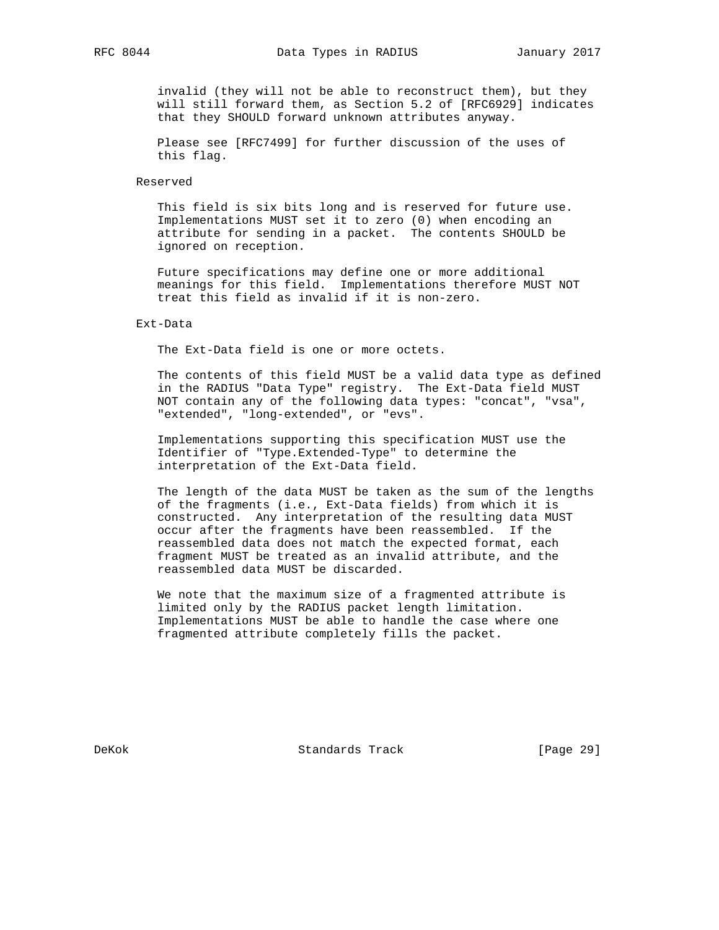invalid (they will not be able to reconstruct them), but they will still forward them, as Section 5.2 of [RFC6929] indicates that they SHOULD forward unknown attributes anyway.

 Please see [RFC7499] for further discussion of the uses of this flag.

#### Reserved

 This field is six bits long and is reserved for future use. Implementations MUST set it to zero (0) when encoding an attribute for sending in a packet. The contents SHOULD be ignored on reception.

 Future specifications may define one or more additional meanings for this field. Implementations therefore MUST NOT treat this field as invalid if it is non-zero.

#### Ext-Data

The Ext-Data field is one or more octets.

 The contents of this field MUST be a valid data type as defined in the RADIUS "Data Type" registry. The Ext-Data field MUST NOT contain any of the following data types: "concat", "vsa", "extended", "long-extended", or "evs".

 Implementations supporting this specification MUST use the Identifier of "Type.Extended-Type" to determine the interpretation of the Ext-Data field.

 The length of the data MUST be taken as the sum of the lengths of the fragments (i.e., Ext-Data fields) from which it is constructed. Any interpretation of the resulting data MUST occur after the fragments have been reassembled. If the reassembled data does not match the expected format, each fragment MUST be treated as an invalid attribute, and the reassembled data MUST be discarded.

 We note that the maximum size of a fragmented attribute is limited only by the RADIUS packet length limitation. Implementations MUST be able to handle the case where one fragmented attribute completely fills the packet.

DeKok Standards Track [Page 29]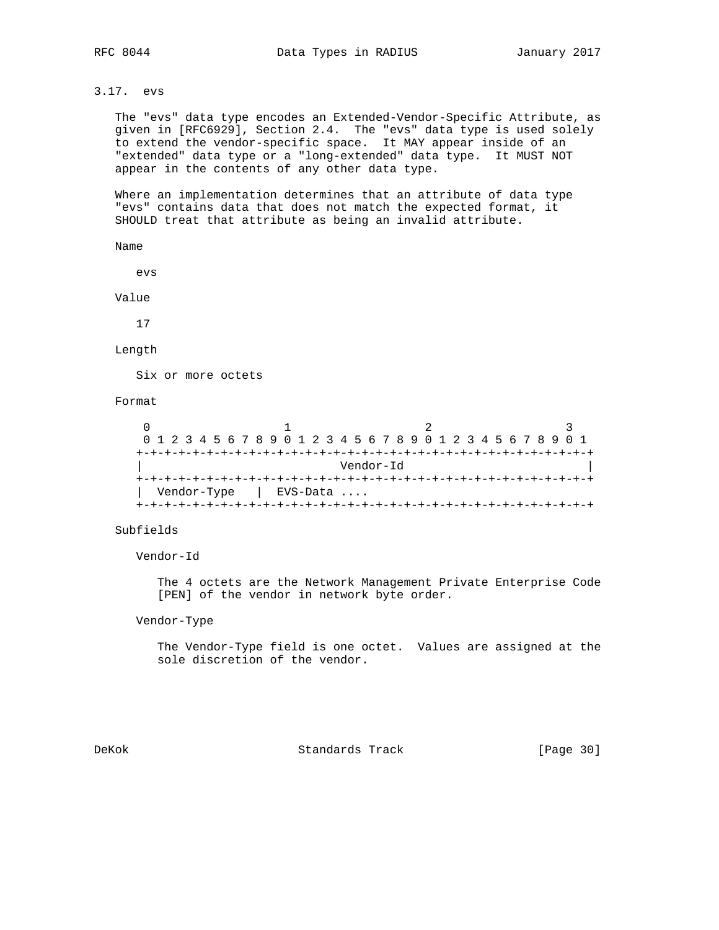3.17. evs

 The "evs" data type encodes an Extended-Vendor-Specific Attribute, as given in [RFC6929], Section 2.4. The "evs" data type is used solely to extend the vendor-specific space. It MAY appear inside of an "extended" data type or a "long-extended" data type. It MUST NOT appear in the contents of any other data type.

 Where an implementation determines that an attribute of data type "evs" contains data that does not match the expected format, it SHOULD treat that attribute as being an invalid attribute.

Name

evs

Value

17

Length

Six or more octets

Format

|  |  |  | 0 1 2 3 4 5 6 7 8 9 0 1 2 3 4 5 6 7 8 9 0 1 2 3 4 5 6 7 8 9 0 1 |  |  |  |            |  |  |           |  |  |  |  |  |  |  |
|--|--|--|-----------------------------------------------------------------|--|--|--|------------|--|--|-----------|--|--|--|--|--|--|--|
|  |  |  |                                                                 |  |  |  |            |  |  |           |  |  |  |  |  |  |  |
|  |  |  |                                                                 |  |  |  |            |  |  | Vendor-Id |  |  |  |  |  |  |  |
|  |  |  |                                                                 |  |  |  |            |  |  |           |  |  |  |  |  |  |  |
|  |  |  | Vendor-Type                                                     |  |  |  | $EVS-Data$ |  |  |           |  |  |  |  |  |  |  |
|  |  |  |                                                                 |  |  |  |            |  |  |           |  |  |  |  |  |  |  |

Subfields

Vendor-Id

 The 4 octets are the Network Management Private Enterprise Code [PEN] of the vendor in network byte order.

Vendor-Type

 The Vendor-Type field is one octet. Values are assigned at the sole discretion of the vendor.

DeKok Standards Track [Page 30]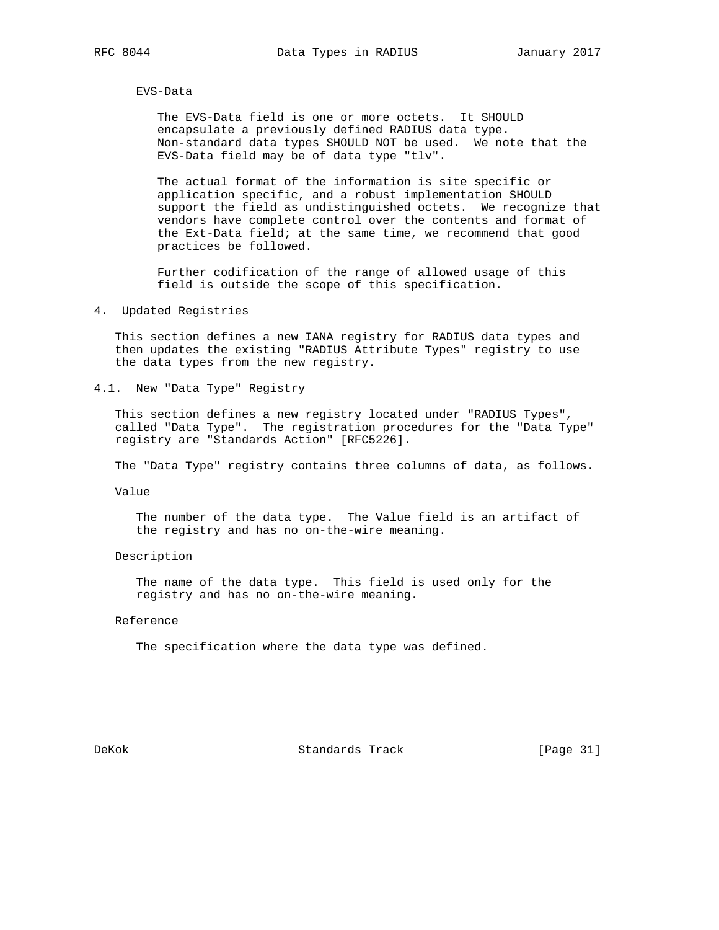EVS-Data

 The EVS-Data field is one or more octets. It SHOULD encapsulate a previously defined RADIUS data type. Non-standard data types SHOULD NOT be used. We note that the EVS-Data field may be of data type "tlv".

 The actual format of the information is site specific or application specific, and a robust implementation SHOULD support the field as undistinguished octets. We recognize that vendors have complete control over the contents and format of the Ext-Data field; at the same time, we recommend that good practices be followed.

 Further codification of the range of allowed usage of this field is outside the scope of this specification.

4. Updated Registries

 This section defines a new IANA registry for RADIUS data types and then updates the existing "RADIUS Attribute Types" registry to use the data types from the new registry.

4.1. New "Data Type" Registry

 This section defines a new registry located under "RADIUS Types", called "Data Type". The registration procedures for the "Data Type" registry are "Standards Action" [RFC5226].

The "Data Type" registry contains three columns of data, as follows.

Value

 The number of the data type. The Value field is an artifact of the registry and has no on-the-wire meaning.

## Description

 The name of the data type. This field is used only for the registry and has no on-the-wire meaning.

## Reference

The specification where the data type was defined.

DeKok Standards Track [Page 31]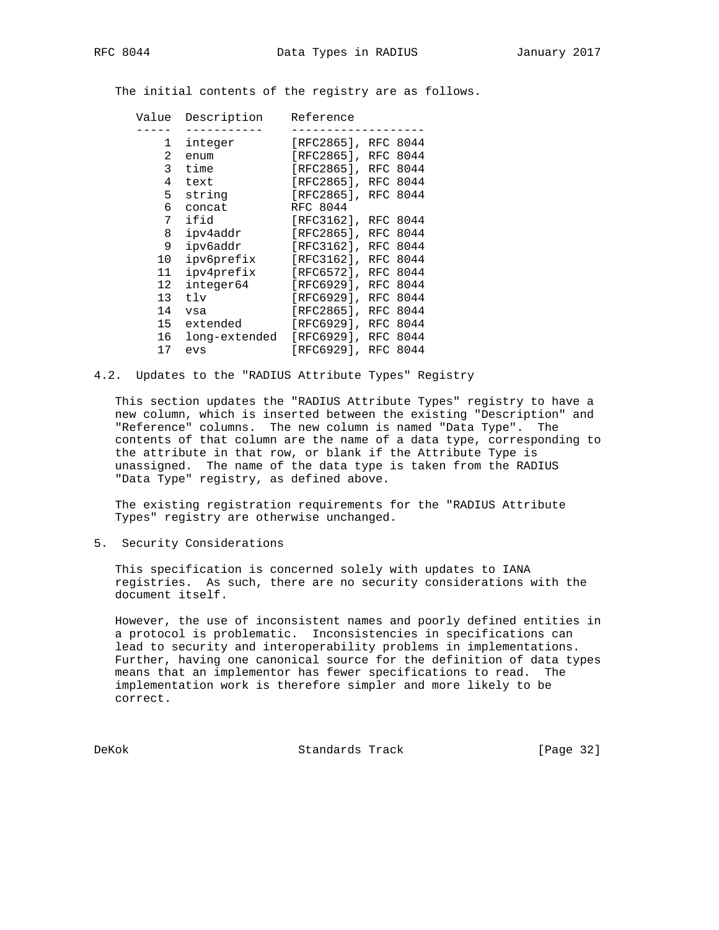The initial contents of the registry are as follows.

| Value | Description   | Reference           |     |      |
|-------|---------------|---------------------|-----|------|
|       |               |                     |     |      |
| 1     | integer       | [RFC2865], RFC 8044 |     |      |
| 2     | enum          | [RFC2865], RFC 8044 |     |      |
| 3     | time          | [RFC2865], RFC 8044 |     |      |
| 4     | text          | [RFC2865], RFC 8044 |     |      |
| 5     | string        | [RFC2865], RFC 8044 |     |      |
| 6     | concat        | RFC 8044            |     |      |
| 7     | ifid          | [RFC3162], RFC 8044 |     |      |
| 8     | ipv4addr      | [RFC2865], RFC      |     | 8044 |
| 9     | ipv6addr      | [RFC3162],          | RFC | 8044 |
| 10    | ipv6prefix    | [RFC3162],          | RFC | 8044 |
| 11    | ipv4prefix    | $[RFC6572]$ ,       | RFC | 8044 |
| 12    | integer64     | $[RFC6929]$ ,       | RFC | 8044 |
| 13    | tlv           | [RFC6929],          | RFC | 8044 |
| 14    | vsa           | $[RTC2865]$ ,       | RFC | 8044 |
| 15    | extended      | [RFC6929], RFC      |     | 8044 |
| 16    | long-extended | $[RFC6929]$ , RFC   |     | 8044 |
| 17    | evs           | [RFC6929],          | RFC | 8044 |

4.2. Updates to the "RADIUS Attribute Types" Registry

 This section updates the "RADIUS Attribute Types" registry to have a new column, which is inserted between the existing "Description" and "Reference" columns. The new column is named "Data Type". The contents of that column are the name of a data type, corresponding to the attribute in that row, or blank if the Attribute Type is unassigned. The name of the data type is taken from the RADIUS "Data Type" registry, as defined above.

 The existing registration requirements for the "RADIUS Attribute Types" registry are otherwise unchanged.

5. Security Considerations

 This specification is concerned solely with updates to IANA registries. As such, there are no security considerations with the document itself.

 However, the use of inconsistent names and poorly defined entities in a protocol is problematic. Inconsistencies in specifications can lead to security and interoperability problems in implementations. Further, having one canonical source for the definition of data types means that an implementor has fewer specifications to read. The implementation work is therefore simpler and more likely to be correct.

DeKok Standards Track [Page 32]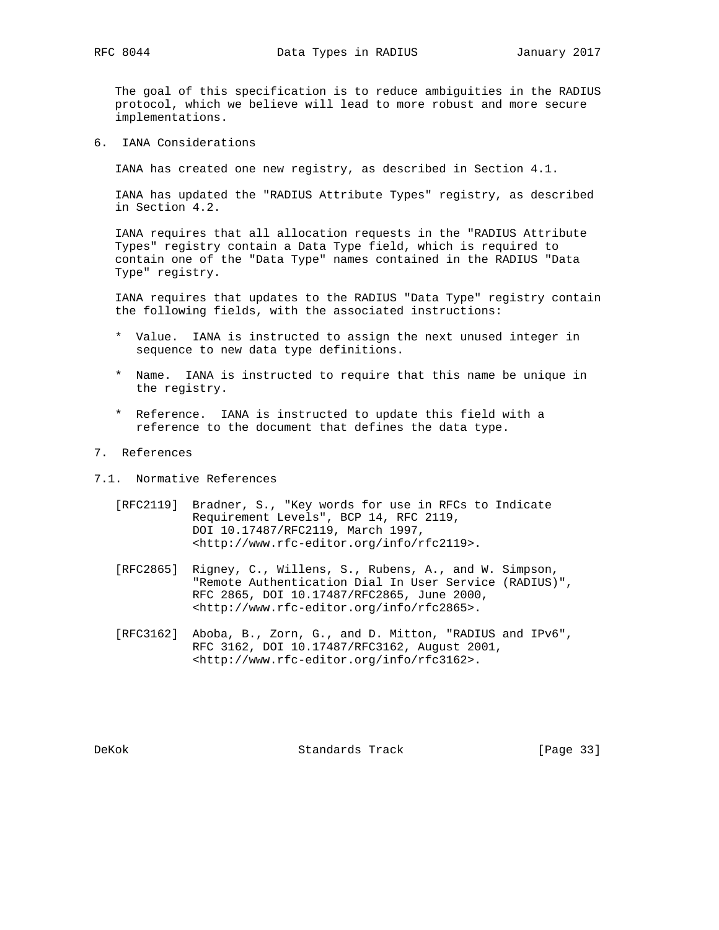The goal of this specification is to reduce ambiguities in the RADIUS protocol, which we believe will lead to more robust and more secure implementations.

6. IANA Considerations

IANA has created one new registry, as described in Section 4.1.

 IANA has updated the "RADIUS Attribute Types" registry, as described in Section 4.2.

 IANA requires that all allocation requests in the "RADIUS Attribute Types" registry contain a Data Type field, which is required to contain one of the "Data Type" names contained in the RADIUS "Data Type" registry.

 IANA requires that updates to the RADIUS "Data Type" registry contain the following fields, with the associated instructions:

- \* Value. IANA is instructed to assign the next unused integer in sequence to new data type definitions.
- \* Name. IANA is instructed to require that this name be unique in the registry.
- \* Reference. IANA is instructed to update this field with a reference to the document that defines the data type.
- 7. References
- 7.1. Normative References
	- [RFC2119] Bradner, S., "Key words for use in RFCs to Indicate Requirement Levels", BCP 14, RFC 2119, DOI 10.17487/RFC2119, March 1997, <http://www.rfc-editor.org/info/rfc2119>.
	- [RFC2865] Rigney, C., Willens, S., Rubens, A., and W. Simpson, "Remote Authentication Dial In User Service (RADIUS)", RFC 2865, DOI 10.17487/RFC2865, June 2000, <http://www.rfc-editor.org/info/rfc2865>.
	- [RFC3162] Aboba, B., Zorn, G., and D. Mitton, "RADIUS and IPv6", RFC 3162, DOI 10.17487/RFC3162, August 2001, <http://www.rfc-editor.org/info/rfc3162>.

DeKok **Standards Track** [Page 33]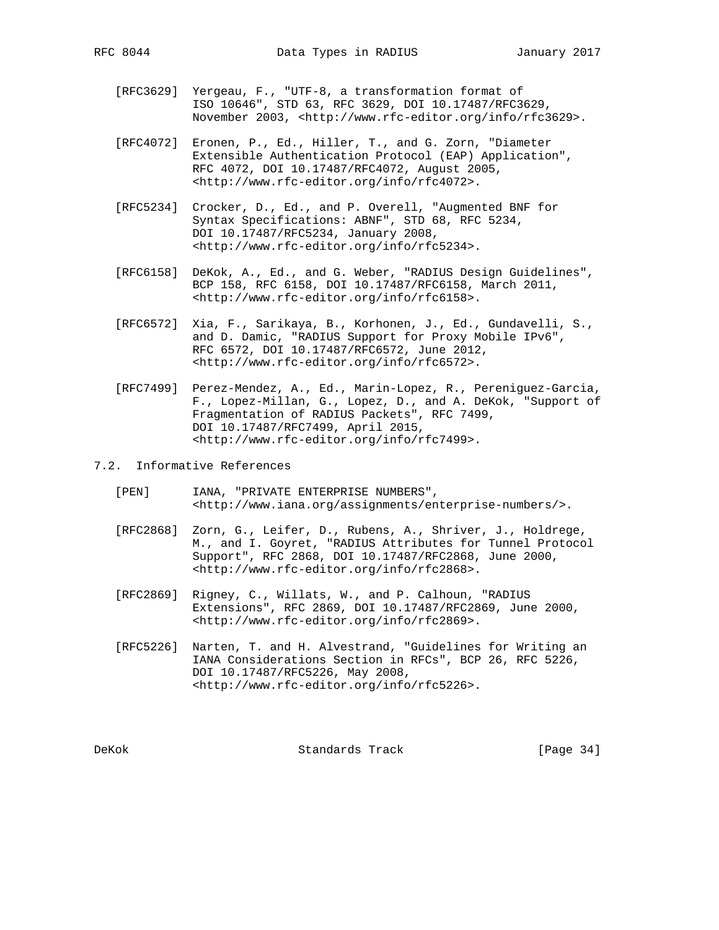- [RFC3629] Yergeau, F., "UTF-8, a transformation format of ISO 10646", STD 63, RFC 3629, DOI 10.17487/RFC3629, November 2003, <http://www.rfc-editor.org/info/rfc3629>.
- [RFC4072] Eronen, P., Ed., Hiller, T., and G. Zorn, "Diameter Extensible Authentication Protocol (EAP) Application", RFC 4072, DOI 10.17487/RFC4072, August 2005, <http://www.rfc-editor.org/info/rfc4072>.
- [RFC5234] Crocker, D., Ed., and P. Overell, "Augmented BNF for Syntax Specifications: ABNF", STD 68, RFC 5234, DOI 10.17487/RFC5234, January 2008, <http://www.rfc-editor.org/info/rfc5234>.
- [RFC6158] DeKok, A., Ed., and G. Weber, "RADIUS Design Guidelines", BCP 158, RFC 6158, DOI 10.17487/RFC6158, March 2011, <http://www.rfc-editor.org/info/rfc6158>.
- [RFC6572] Xia, F., Sarikaya, B., Korhonen, J., Ed., Gundavelli, S., and D. Damic, "RADIUS Support for Proxy Mobile IPv6", RFC 6572, DOI 10.17487/RFC6572, June 2012, <http://www.rfc-editor.org/info/rfc6572>.
- [RFC7499] Perez-Mendez, A., Ed., Marin-Lopez, R., Pereniguez-Garcia, F., Lopez-Millan, G., Lopez, D., and A. DeKok, "Support of Fragmentation of RADIUS Packets", RFC 7499, DOI 10.17487/RFC7499, April 2015, <http://www.rfc-editor.org/info/rfc7499>.
- 7.2. Informative References
	- [PEN] IANA, "PRIVATE ENTERPRISE NUMBERS", <http://www.iana.org/assignments/enterprise-numbers/>.
	- [RFC2868] Zorn, G., Leifer, D., Rubens, A., Shriver, J., Holdrege, M., and I. Goyret, "RADIUS Attributes for Tunnel Protocol Support", RFC 2868, DOI 10.17487/RFC2868, June 2000, <http://www.rfc-editor.org/info/rfc2868>.
	- [RFC2869] Rigney, C., Willats, W., and P. Calhoun, "RADIUS Extensions", RFC 2869, DOI 10.17487/RFC2869, June 2000, <http://www.rfc-editor.org/info/rfc2869>.
	- [RFC5226] Narten, T. and H. Alvestrand, "Guidelines for Writing an IANA Considerations Section in RFCs", BCP 26, RFC 5226, DOI 10.17487/RFC5226, May 2008, <http://www.rfc-editor.org/info/rfc5226>.

DeKok Standards Track [Page 34]